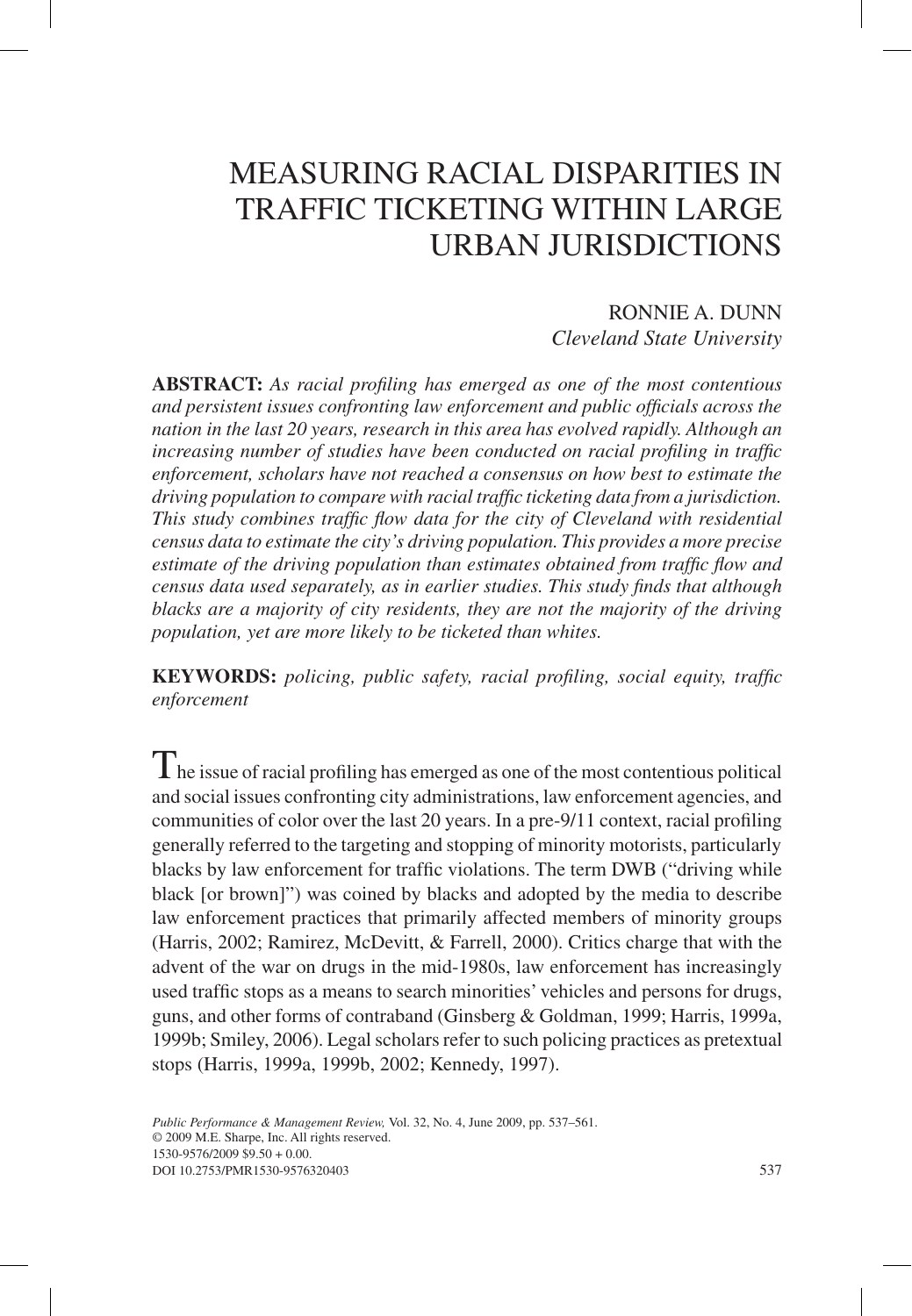# Measuring Racial Disparities in Traffic Ticketing Within Large URBAN JURISDICTIONS

# Ronnie A. Dunn *Cleveland State University*

**ABSTRACT:** *As racial profiling has emerged as one of the most contentious and persistent issues confronting law enforcement and public officials across the nation in the last 20 years, research in this area has evolved rapidly. Although an increasing number of studies have been conducted on racial profiling in traffic enforcement, scholars have not reached a consensus on how best to estimate the driving population to compare with racial traffic ticketing data from a jurisdiction. This study combines traffic flow data for the city of Cleveland with residential census data to estimate the city's driving population. This provides a more precise estimate of the driving population than estimates obtained from traffic flow and census data used separately, as in earlier studies. This study finds that although blacks are a majority of city residents, they are not the majority of the driving population, yet are more likely to be ticketed than whites.*

**KEYWORDS:** *policing, public safety, racial profiling, social equity, traffic enforcement* 

 $T$ he issue of racial profiling has emerged as one of the most contentious political and social issues confronting city administrations, law enforcement agencies, and communities of color over the last 20 years. In a pre-9/11 context, racial profiling generally referred to the targeting and stopping of minority motorists, particularly blacks by law enforcement for traffic violations. The term DWB ("driving while black [or brown]") was coined by blacks and adopted by the media to describe law enforcement practices that primarily affected members of minority groups (Harris, 2002; Ramirez, McDevitt, & Farrell, 2000). Critics charge that with the advent of the war on drugs in the mid-1980s, law enforcement has increasingly used traffic stops as a means to search minorities' vehicles and persons for drugs, guns, and other forms of contraband (Ginsberg & Goldman, 1999; Harris, 1999a, 1999b; Smiley, 2006). Legal scholars refer to such policing practices as pretextual stops (Harris, 1999a, 1999b, 2002; Kennedy, 1997).

*Public Performance & Management Review,* Vol. 32, No. 4, June 2009, pp. 537–561. © 2009 M.E. Sharpe, Inc. All rights reserved.  $1530-9576/2009$  \$9.50 + 0.00 DOI 10.2753/PMR1530-9576320403 537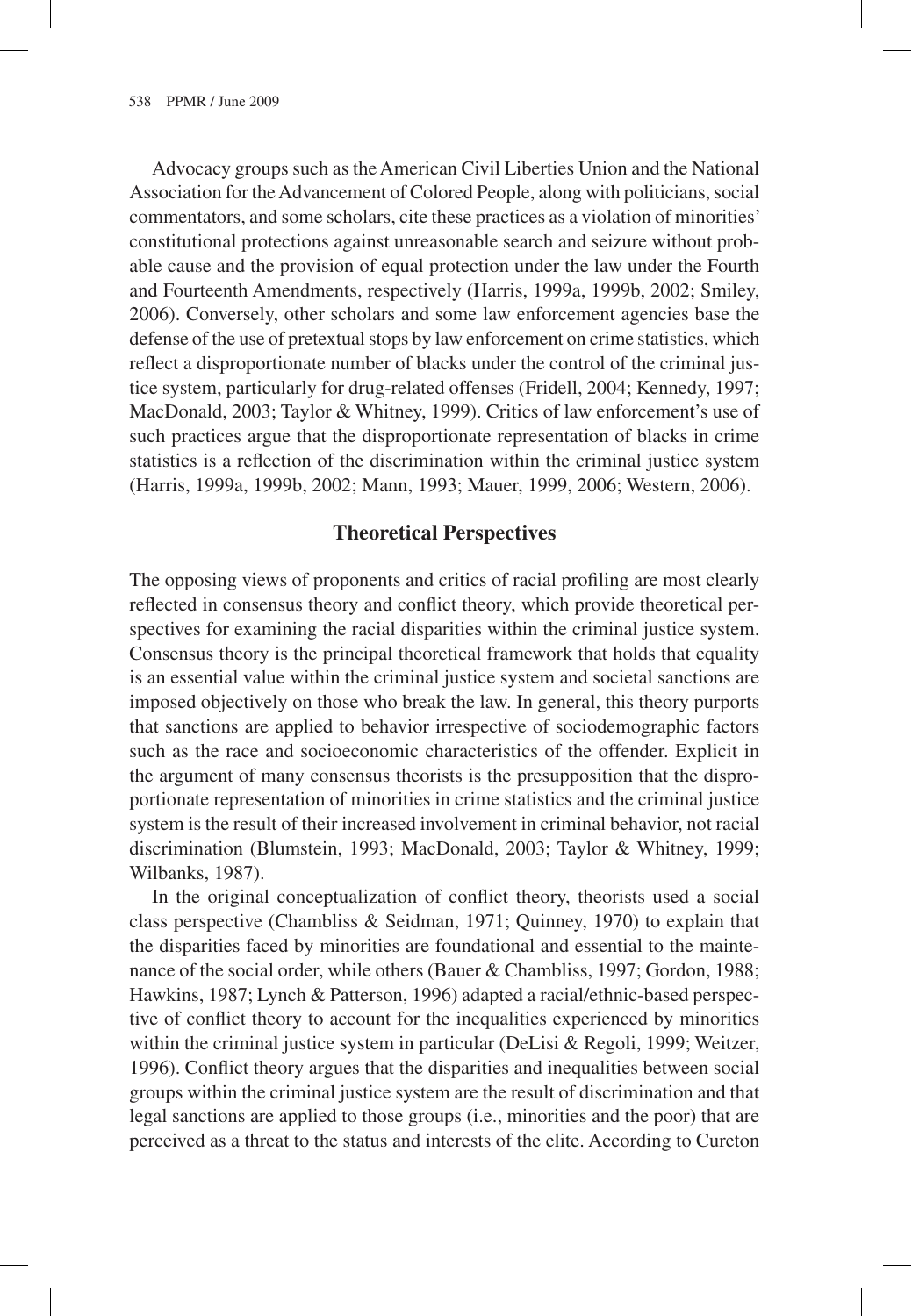Advocacy groups such as the American Civil Liberties Union and the National Association for the Advancement of Colored People, along with politicians, social commentators, and some scholars, cite these practices as a violation of minorities' constitutional protections against unreasonable search and seizure without probable cause and the provision of equal protection under the law under the Fourth and Fourteenth Amendments, respectively (Harris, 1999a, 1999b, 2002; Smiley, 2006). Conversely, other scholars and some law enforcement agencies base the defense of the use of pretextual stops by law enforcement on crime statistics, which reflect a disproportionate number of blacks under the control of the criminal justice system, particularly for drug-related offenses (Fridell, 2004; Kennedy, 1997; MacDonald, 2003; Taylor & Whitney, 1999). Critics of law enforcement's use of such practices argue that the disproportionate representation of blacks in crime statistics is a reflection of the discrimination within the criminal justice system (Harris, 1999a, 1999b, 2002; Mann, 1993; Mauer, 1999, 2006; Western, 2006).

## **Theoretical Perspectives**

The opposing views of proponents and critics of racial profiling are most clearly reflected in consensus theory and conflict theory, which provide theoretical perspectives for examining the racial disparities within the criminal justice system. Consensus theory is the principal theoretical framework that holds that equality is an essential value within the criminal justice system and societal sanctions are imposed objectively on those who break the law. In general, this theory purports that sanctions are applied to behavior irrespective of sociodemographic factors such as the race and socioeconomic characteristics of the offender. Explicit in the argument of many consensus theorists is the presupposition that the disproportionate representation of minorities in crime statistics and the criminal justice system is the result of their increased involvement in criminal behavior, not racial discrimination (Blumstein, 1993; MacDonald, 2003; Taylor & Whitney, 1999; Wilbanks, 1987).

In the original conceptualization of conflict theory, theorists used a social class perspective (Chambliss & Seidman, 1971; Quinney, 1970) to explain that the disparities faced by minorities are foundational and essential to the maintenance of the social order, while others (Bauer & Chambliss, 1997; Gordon, 1988; Hawkins, 1987; Lynch & Patterson, 1996) adapted a racial/ethnic-based perspective of conflict theory to account for the inequalities experienced by minorities within the criminal justice system in particular (DeLisi & Regoli, 1999; Weitzer, 1996). Conflict theory argues that the disparities and inequalities between social groups within the criminal justice system are the result of discrimination and that legal sanctions are applied to those groups (i.e., minorities and the poor) that are perceived as a threat to the status and interests of the elite. According to Cureton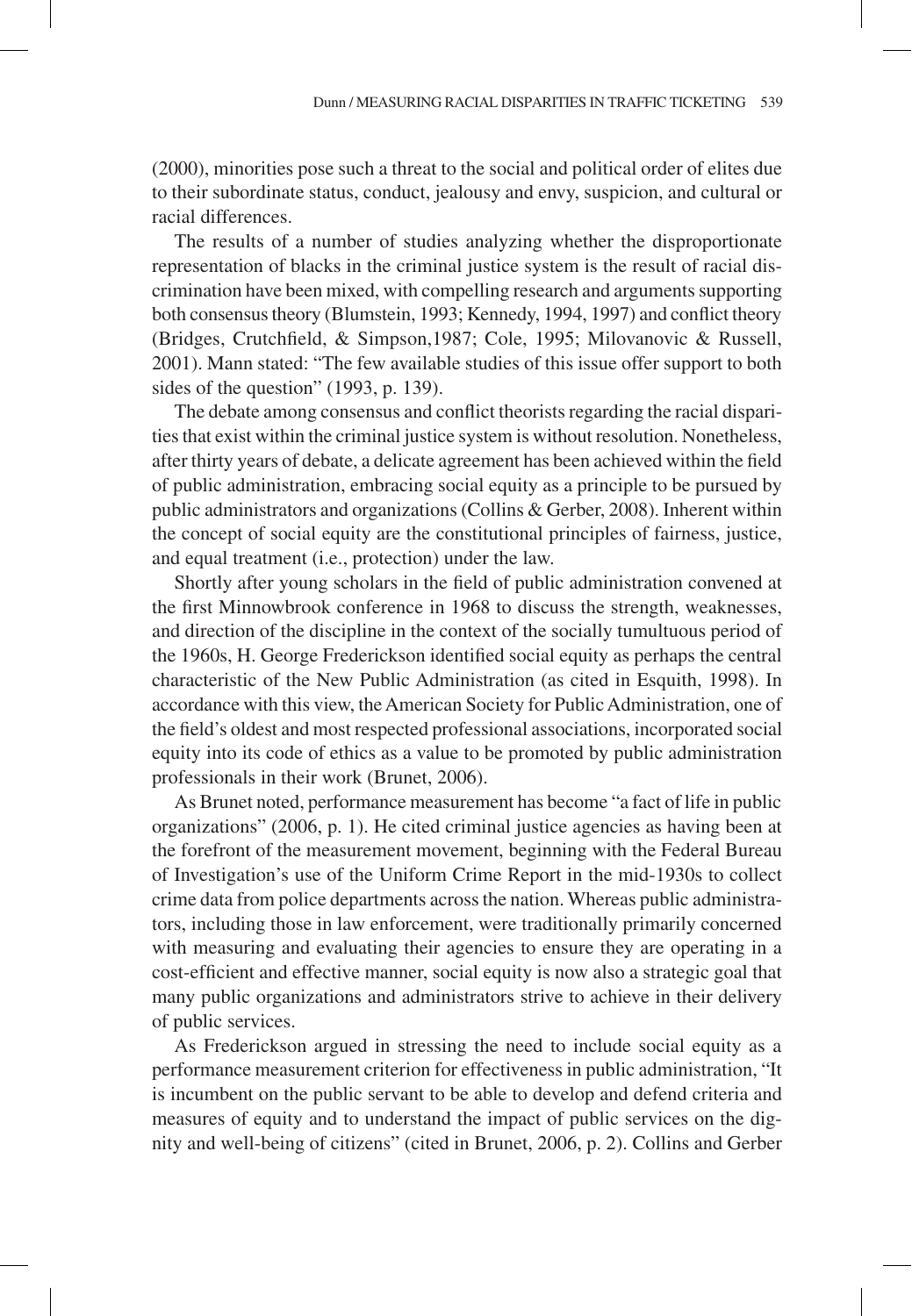(2000), minorities pose such a threat to the social and political order of elites due to their subordinate status, conduct, jealousy and envy, suspicion, and cultural or racial differences.

The results of a number of studies analyzing whether the disproportionate representation of blacks in the criminal justice system is the result of racial discrimination have been mixed, with compelling research and arguments supporting both consensus theory (Blumstein, 1993; Kennedy, 1994, 1997) and conflict theory (Bridges, Crutchfield, & Simpson,1987; Cole, 1995; Milovanovic & Russell, 2001). Mann stated: "The few available studies of this issue offer support to both sides of the question" (1993, p. 139).

The debate among consensus and conflict theorists regarding the racial disparities that exist within the criminal justice system is without resolution. Nonetheless, after thirty years of debate, a delicate agreement has been achieved within the field of public administration, embracing social equity as a principle to be pursued by public administrators and organizations (Collins & Gerber, 2008). Inherent within the concept of social equity are the constitutional principles of fairness, justice, and equal treatment (i.e., protection) under the law.

Shortly after young scholars in the field of public administration convened at the first Minnowbrook conference in 1968 to discuss the strength, weaknesses, and direction of the discipline in the context of the socially tumultuous period of the 1960s, H. George Frederickson identified social equity as perhaps the central characteristic of the New Public Administration (as cited in Esquith, 1998). In accordance with this view, the American Society for Public Administration, one of the field's oldest and most respected professional associations, incorporated social equity into its code of ethics as a value to be promoted by public administration professionals in their work (Brunet, 2006).

As Brunet noted, performance measurement has become "a fact of life in public organizations" (2006, p. 1). He cited criminal justice agencies as having been at the forefront of the measurement movement, beginning with the Federal Bureau of Investigation's use of the Uniform Crime Report in the mid-1930s to collect crime data from police departments across the nation. Whereas public administrators, including those in law enforcement, were traditionally primarily concerned with measuring and evaluating their agencies to ensure they are operating in a cost-efficient and effective manner, social equity is now also a strategic goal that many public organizations and administrators strive to achieve in their delivery of public services.

As Frederickson argued in stressing the need to include social equity as a performance measurement criterion for effectiveness in public administration, "It is incumbent on the public servant to be able to develop and defend criteria and measures of equity and to understand the impact of public services on the dignity and well-being of citizens" (cited in Brunet, 2006, p. 2). Collins and Gerber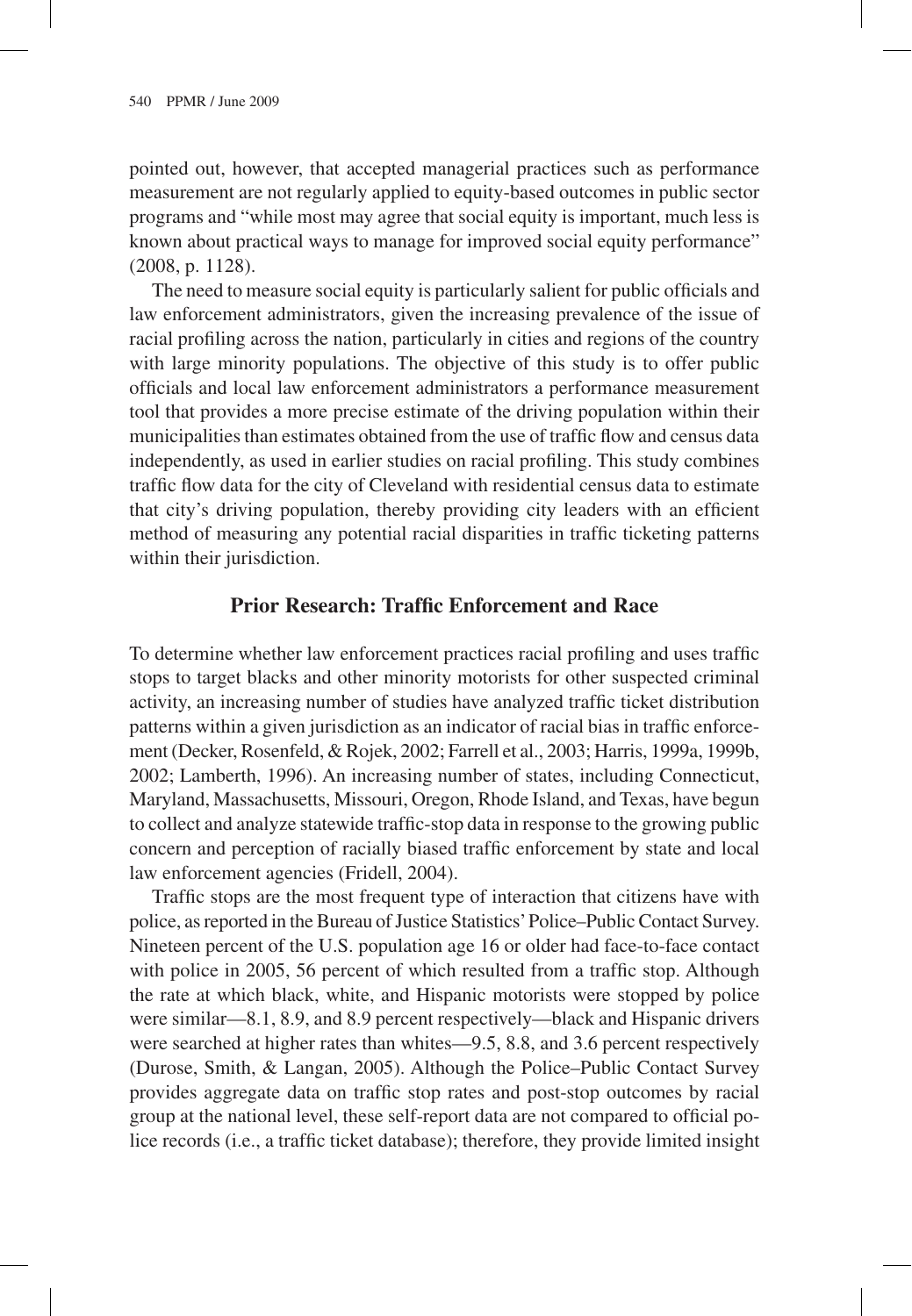pointed out, however, that accepted managerial practices such as performance measurement are not regularly applied to equity-based outcomes in public sector programs and "while most may agree that social equity is important, much less is known about practical ways to manage for improved social equity performance" (2008, p. 1128).

The need to measure social equity is particularly salient for public officials and law enforcement administrators, given the increasing prevalence of the issue of racial profiling across the nation, particularly in cities and regions of the country with large minority populations. The objective of this study is to offer public officials and local law enforcement administrators a performance measurement tool that provides a more precise estimate of the driving population within their municipalities than estimates obtained from the use of traffic flow and census data independently, as used in earlier studies on racial profiling. This study combines traffic flow data for the city of Cleveland with residential census data to estimate that city's driving population, thereby providing city leaders with an efficient method of measuring any potential racial disparities in traffic ticketing patterns within their jurisdiction.

# **Prior Research: Traffic Enforcement and Race**

To determine whether law enforcement practices racial profiling and uses traffic stops to target blacks and other minority motorists for other suspected criminal activity, an increasing number of studies have analyzed traffic ticket distribution patterns within a given jurisdiction as an indicator of racial bias in traffic enforcement (Decker, Rosenfeld, & Rojek, 2002; Farrell et al., 2003; Harris, 1999a, 1999b, 2002; Lamberth, 1996). An increasing number of states, including Connecticut, Maryland, Massachusetts, Missouri, Oregon, Rhode Island, and Texas, have begun to collect and analyze statewide traffic-stop data in response to the growing public concern and perception of racially biased traffic enforcement by state and local law enforcement agencies (Fridell, 2004).

Traffic stops are the most frequent type of interaction that citizens have with police, as reported in the Bureau of Justice Statistics' Police–Public Contact Survey. Nineteen percent of the U.S. population age 16 or older had face-to-face contact with police in 2005, 56 percent of which resulted from a traffic stop. Although the rate at which black, white, and Hispanic motorists were stopped by police were similar—8.1, 8.9, and 8.9 percent respectively—black and Hispanic drivers were searched at higher rates than whites—9.5, 8.8, and 3.6 percent respectively (Durose, Smith, & Langan, 2005). Although the Police–Public Contact Survey provides aggregate data on traffic stop rates and post-stop outcomes by racial group at the national level, these self-report data are not compared to official police records (i.e., a traffic ticket database); therefore, they provide limited insight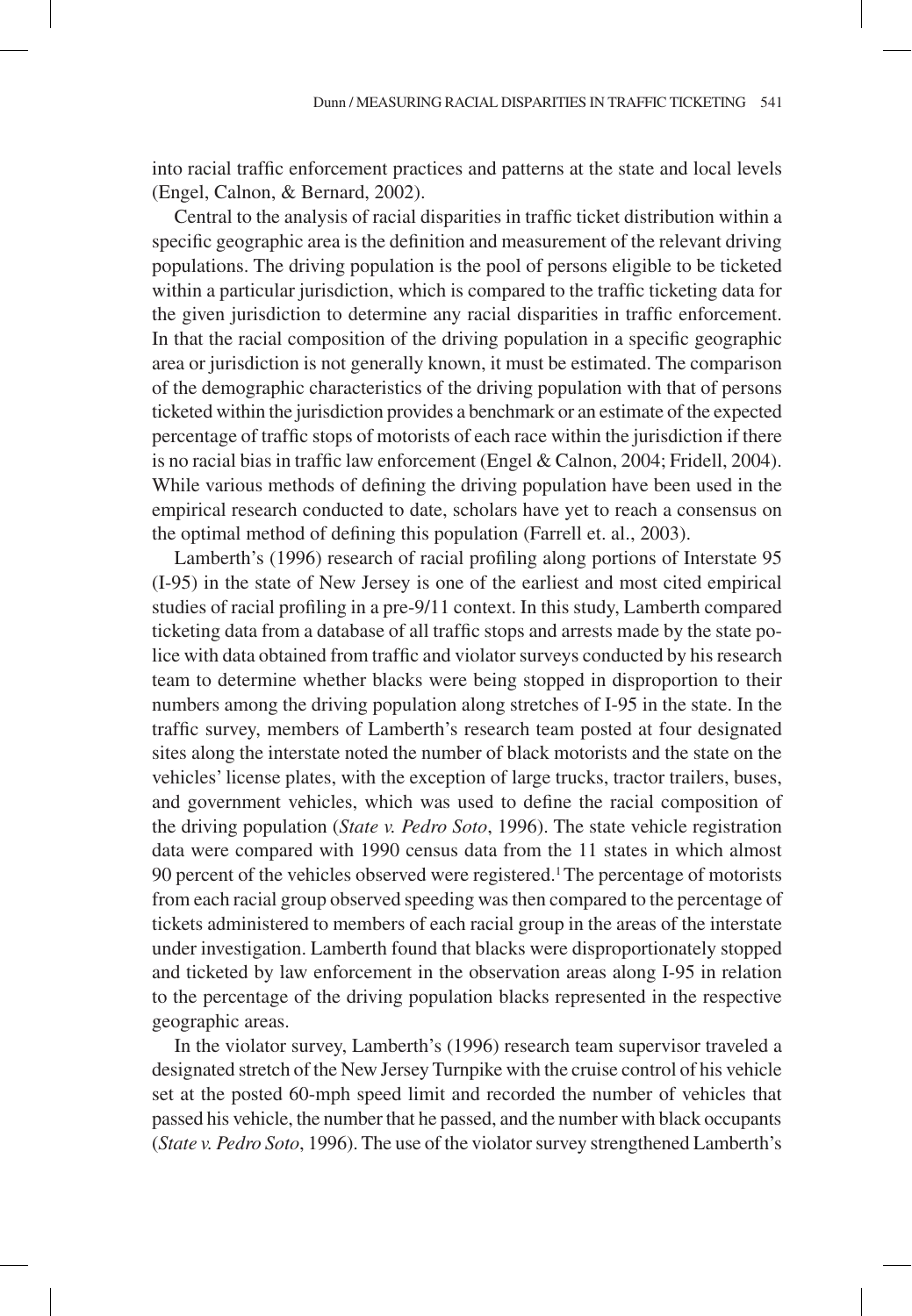into racial traffic enforcement practices and patterns at the state and local levels (Engel, Calnon, & Bernard, 2002).

Central to the analysis of racial disparities in traffic ticket distribution within a specific geographic area is the definition and measurement of the relevant driving populations. The driving population is the pool of persons eligible to be ticketed within a particular jurisdiction, which is compared to the traffic ticketing data for the given jurisdiction to determine any racial disparities in traffic enforcement. In that the racial composition of the driving population in a specific geographic area or jurisdiction is not generally known, it must be estimated. The comparison of the demographic characteristics of the driving population with that of persons ticketed within the jurisdiction provides a benchmark or an estimate of the expected percentage of traffic stops of motorists of each race within the jurisdiction if there is no racial bias in traffic law enforcement (Engel & Calnon, 2004; Fridell, 2004). While various methods of defining the driving population have been used in the empirical research conducted to date, scholars have yet to reach a consensus on the optimal method of defining this population (Farrell et. al., 2003).

Lamberth's (1996) research of racial profiling along portions of Interstate 95 (I-95) in the state of New Jersey is one of the earliest and most cited empirical studies of racial profiling in a pre-9/11 context. In this study, Lamberth compared ticketing data from a database of all traffic stops and arrests made by the state police with data obtained from traffic and violator surveys conducted by his research team to determine whether blacks were being stopped in disproportion to their numbers among the driving population along stretches of I-95 in the state. In the traffic survey, members of Lamberth's research team posted at four designated sites along the interstate noted the number of black motorists and the state on the vehicles' license plates, with the exception of large trucks, tractor trailers, buses, and government vehicles, which was used to define the racial composition of the driving population (*State v. Pedro Soto*, 1996). The state vehicle registration data were compared with 1990 census data from the 11 states in which almost 90 percent of the vehicles observed were registered.<sup>1</sup> The percentage of motorists from each racial group observed speeding was then compared to the percentage of tickets administered to members of each racial group in the areas of the interstate under investigation. Lamberth found that blacks were disproportionately stopped and ticketed by law enforcement in the observation areas along I-95 in relation to the percentage of the driving population blacks represented in the respective geographic areas.

In the violator survey, Lamberth's (1996) research team supervisor traveled a designated stretch of the New Jersey Turnpike with the cruise control of his vehicle set at the posted 60-mph speed limit and recorded the number of vehicles that passed his vehicle, the number that he passed, and the number with black occupants (*State v. Pedro Soto*, 1996). The use of the violator survey strengthened Lamberth's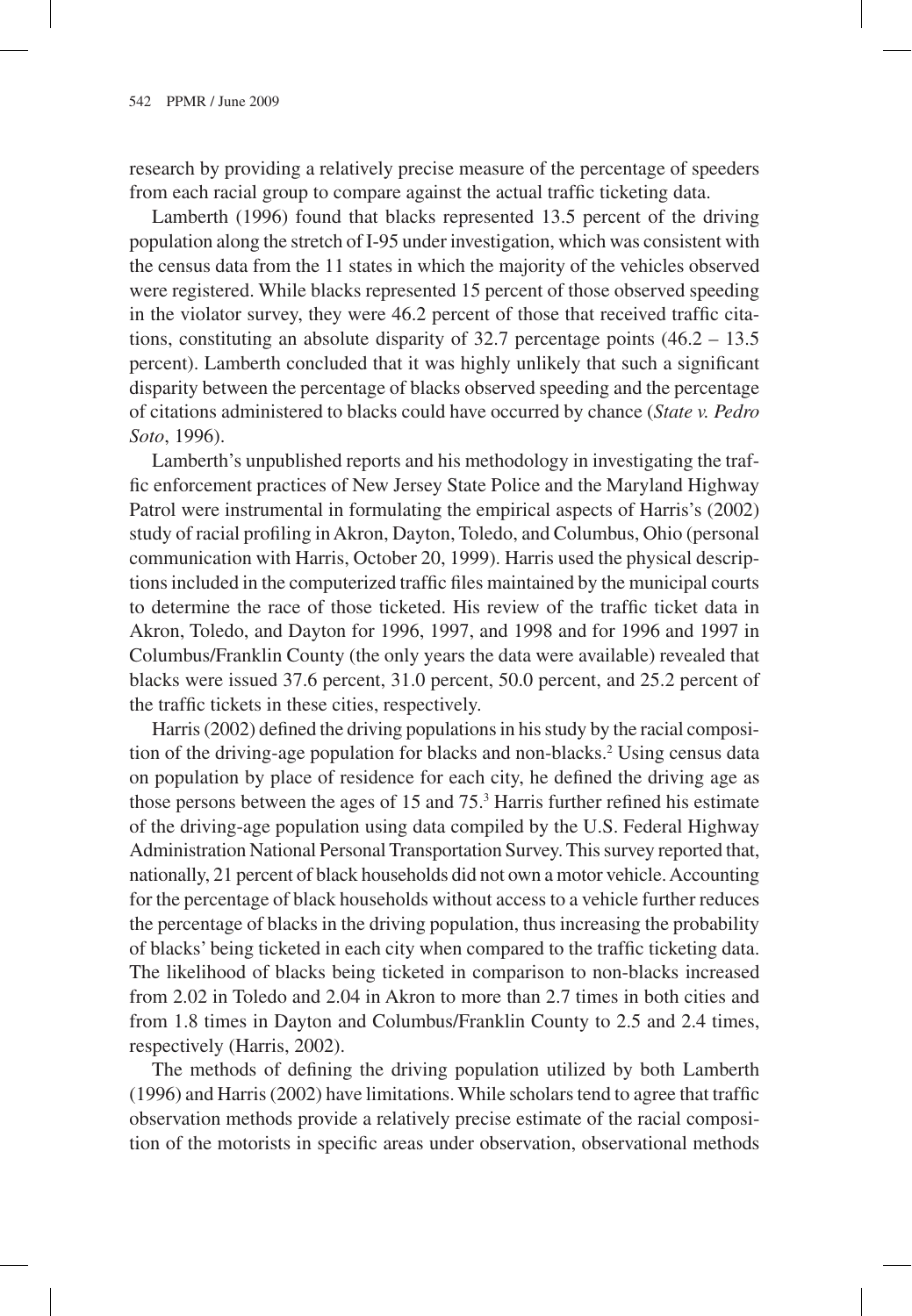research by providing a relatively precise measure of the percentage of speeders from each racial group to compare against the actual traffic ticketing data.

Lamberth (1996) found that blacks represented 13.5 percent of the driving population along the stretch of I-95 under investigation, which was consistent with the census data from the 11 states in which the majority of the vehicles observed were registered. While blacks represented 15 percent of those observed speeding in the violator survey, they were 46.2 percent of those that received traffic citations, constituting an absolute disparity of 32.7 percentage points  $(46.2 - 13.5)$ percent). Lamberth concluded that it was highly unlikely that such a significant disparity between the percentage of blacks observed speeding and the percentage of citations administered to blacks could have occurred by chance (*State v. Pedro Soto*, 1996).

Lamberth's unpublished reports and his methodology in investigating the traffic enforcement practices of New Jersey State Police and the Maryland Highway Patrol were instrumental in formulating the empirical aspects of Harris's (2002) study of racial profiling in Akron, Dayton, Toledo, and Columbus, Ohio (personal communication with Harris, October 20, 1999). Harris used the physical descriptions included in the computerized traffic files maintained by the municipal courts to determine the race of those ticketed. His review of the traffic ticket data in Akron, Toledo, and Dayton for 1996, 1997, and 1998 and for 1996 and 1997 in Columbus/Franklin County (the only years the data were available) revealed that blacks were issued 37.6 percent, 31.0 percent, 50.0 percent, and 25.2 percent of the traffic tickets in these cities, respectively.

Harris (2002) defined the driving populations in his study by the racial composition of the driving-age population for blacks and non-blacks.2 Using census data on population by place of residence for each city, he defined the driving age as those persons between the ages of 15 and 75.3 Harris further refined his estimate of the driving-age population using data compiled by the U.S. Federal Highway Administration National Personal Transportation Survey. This survey reported that, nationally, 21 percent of black households did not own a motor vehicle. Accounting for the percentage of black households without access to a vehicle further reduces the percentage of blacks in the driving population, thus increasing the probability of blacks' being ticketed in each city when compared to the traffic ticketing data. The likelihood of blacks being ticketed in comparison to non-blacks increased from 2.02 in Toledo and 2.04 in Akron to more than 2.7 times in both cities and from 1.8 times in Dayton and Columbus/Franklin County to 2.5 and 2.4 times, respectively (Harris, 2002).

The methods of defining the driving population utilized by both Lamberth (1996) and Harris (2002) have limitations. While scholars tend to agree that traffic observation methods provide a relatively precise estimate of the racial composition of the motorists in specific areas under observation, observational methods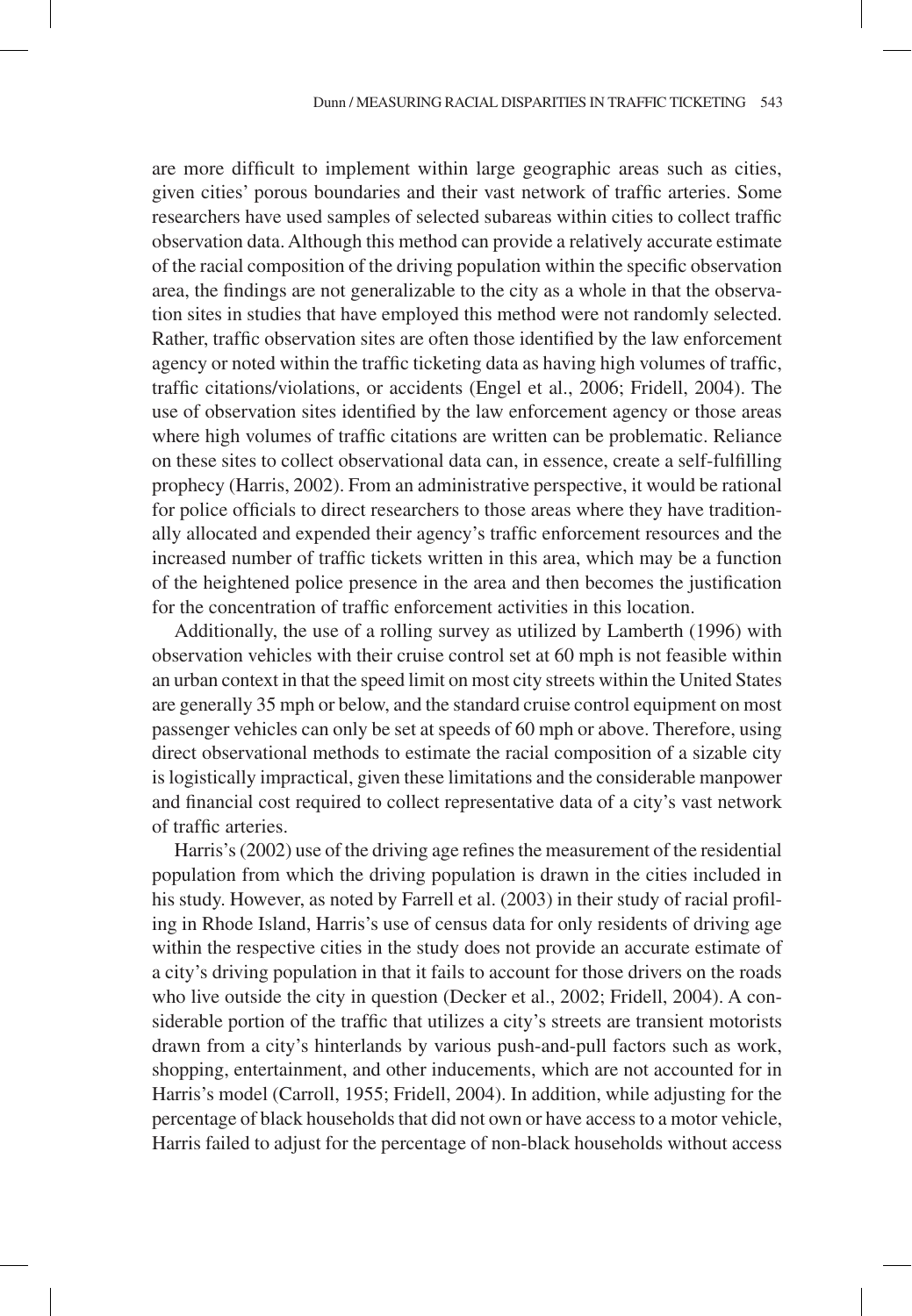are more difficult to implement within large geographic areas such as cities, given cities' porous boundaries and their vast network of traffic arteries. Some researchers have used samples of selected subareas within cities to collect traffic observation data. Although this method can provide a relatively accurate estimate of the racial composition of the driving population within the specific observation area, the findings are not generalizable to the city as a whole in that the observation sites in studies that have employed this method were not randomly selected. Rather, traffic observation sites are often those identified by the law enforcement agency or noted within the traffic ticketing data as having high volumes of traffic, traffic citations/violations, or accidents (Engel et al., 2006; Fridell, 2004). The use of observation sites identified by the law enforcement agency or those areas where high volumes of traffic citations are written can be problematic. Reliance on these sites to collect observational data can, in essence, create a self-fulfilling prophecy (Harris, 2002). From an administrative perspective, it would be rational for police officials to direct researchers to those areas where they have traditionally allocated and expended their agency's traffic enforcement resources and the increased number of traffic tickets written in this area, which may be a function of the heightened police presence in the area and then becomes the justification for the concentration of traffic enforcement activities in this location.

Additionally, the use of a rolling survey as utilized by Lamberth (1996) with observation vehicles with their cruise control set at 60 mph is not feasible within an urban context in that the speed limit on most city streets within the United States are generally 35 mph or below, and the standard cruise control equipment on most passenger vehicles can only be set at speeds of 60 mph or above. Therefore, using direct observational methods to estimate the racial composition of a sizable city is logistically impractical, given these limitations and the considerable manpower and financial cost required to collect representative data of a city's vast network of traffic arteries.

Harris's (2002) use of the driving age refines the measurement of the residential population from which the driving population is drawn in the cities included in his study. However, as noted by Farrell et al. (2003) in their study of racial profiling in Rhode Island, Harris's use of census data for only residents of driving age within the respective cities in the study does not provide an accurate estimate of a city's driving population in that it fails to account for those drivers on the roads who live outside the city in question (Decker et al., 2002; Fridell, 2004). A considerable portion of the traffic that utilizes a city's streets are transient motorists drawn from a city's hinterlands by various push-and-pull factors such as work, shopping, entertainment, and other inducements, which are not accounted for in Harris's model (Carroll, 1955; Fridell, 2004). In addition, while adjusting for the percentage of black households that did not own or have access to a motor vehicle, Harris failed to adjust for the percentage of non-black households without access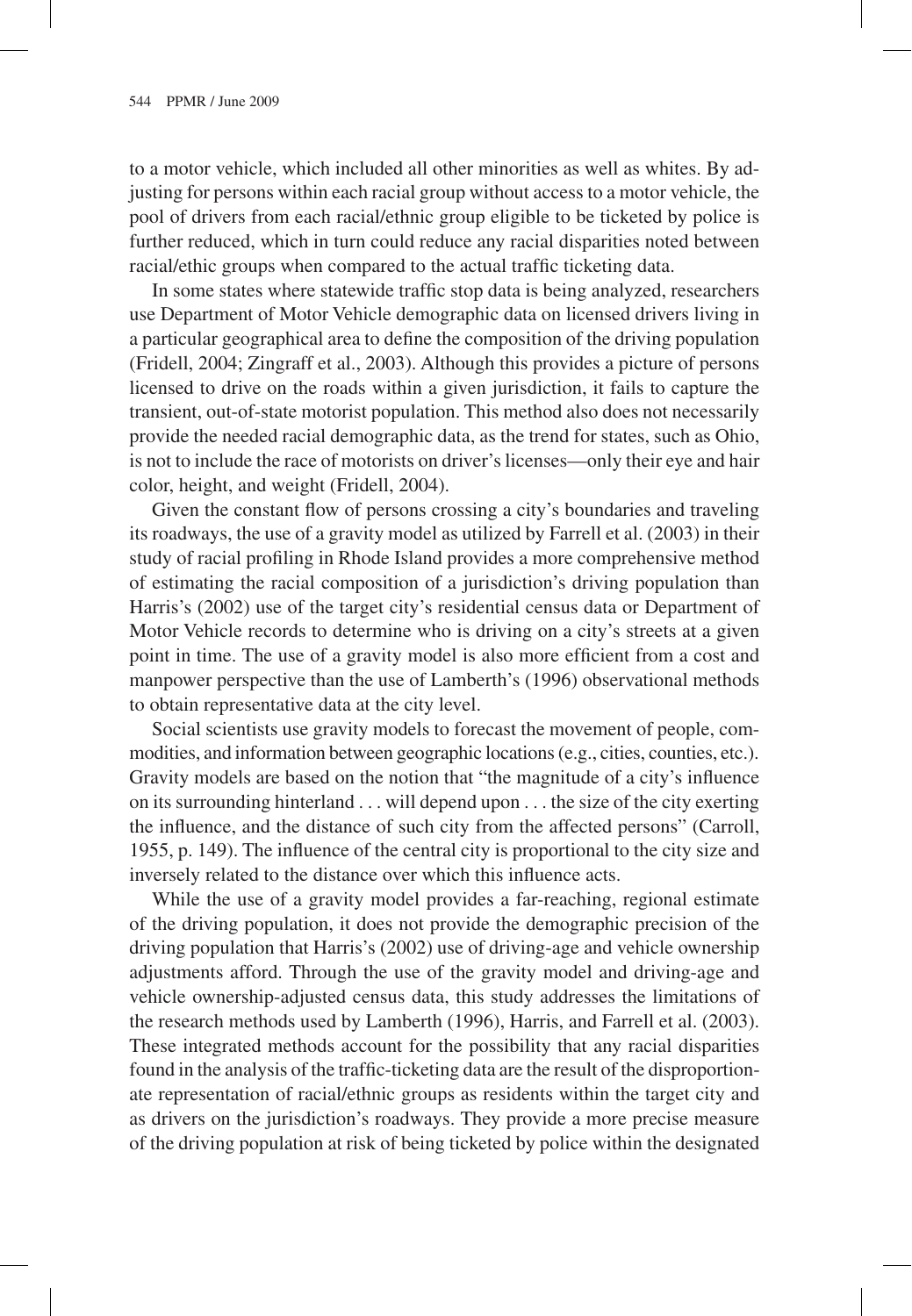to a motor vehicle, which included all other minorities as well as whites. By adjusting for persons within each racial group without access to a motor vehicle, the pool of drivers from each racial/ethnic group eligible to be ticketed by police is further reduced, which in turn could reduce any racial disparities noted between racial/ethic groups when compared to the actual traffic ticketing data.

In some states where statewide traffic stop data is being analyzed, researchers use Department of Motor Vehicle demographic data on licensed drivers living in a particular geographical area to define the composition of the driving population (Fridell, 2004; Zingraff et al., 2003). Although this provides a picture of persons licensed to drive on the roads within a given jurisdiction, it fails to capture the transient, out-of-state motorist population. This method also does not necessarily provide the needed racial demographic data, as the trend for states, such as Ohio, is not to include the race of motorists on driver's licenses—only their eye and hair color, height, and weight (Fridell, 2004).

Given the constant flow of persons crossing a city's boundaries and traveling its roadways, the use of a gravity model as utilized by Farrell et al. (2003) in their study of racial profiling in Rhode Island provides a more comprehensive method of estimating the racial composition of a jurisdiction's driving population than Harris's (2002) use of the target city's residential census data or Department of Motor Vehicle records to determine who is driving on a city's streets at a given point in time. The use of a gravity model is also more efficient from a cost and manpower perspective than the use of Lamberth's (1996) observational methods to obtain representative data at the city level.

Social scientists use gravity models to forecast the movement of people, commodities, and information between geographic locations (e.g., cities, counties, etc.). Gravity models are based on the notion that "the magnitude of a city's influence on its surrounding hinterland . . . will depend upon . . . the size of the city exerting the influence, and the distance of such city from the affected persons" (Carroll, 1955, p. 149). The influence of the central city is proportional to the city size and inversely related to the distance over which this influence acts.

While the use of a gravity model provides a far-reaching, regional estimate of the driving population, it does not provide the demographic precision of the driving population that Harris's (2002) use of driving-age and vehicle ownership adjustments afford. Through the use of the gravity model and driving-age and vehicle ownership-adjusted census data, this study addresses the limitations of the research methods used by Lamberth (1996), Harris, and Farrell et al. (2003). These integrated methods account for the possibility that any racial disparities found in the analysis of the traffic-ticketing data are the result of the disproportionate representation of racial/ethnic groups as residents within the target city and as drivers on the jurisdiction's roadways. They provide a more precise measure of the driving population at risk of being ticketed by police within the designated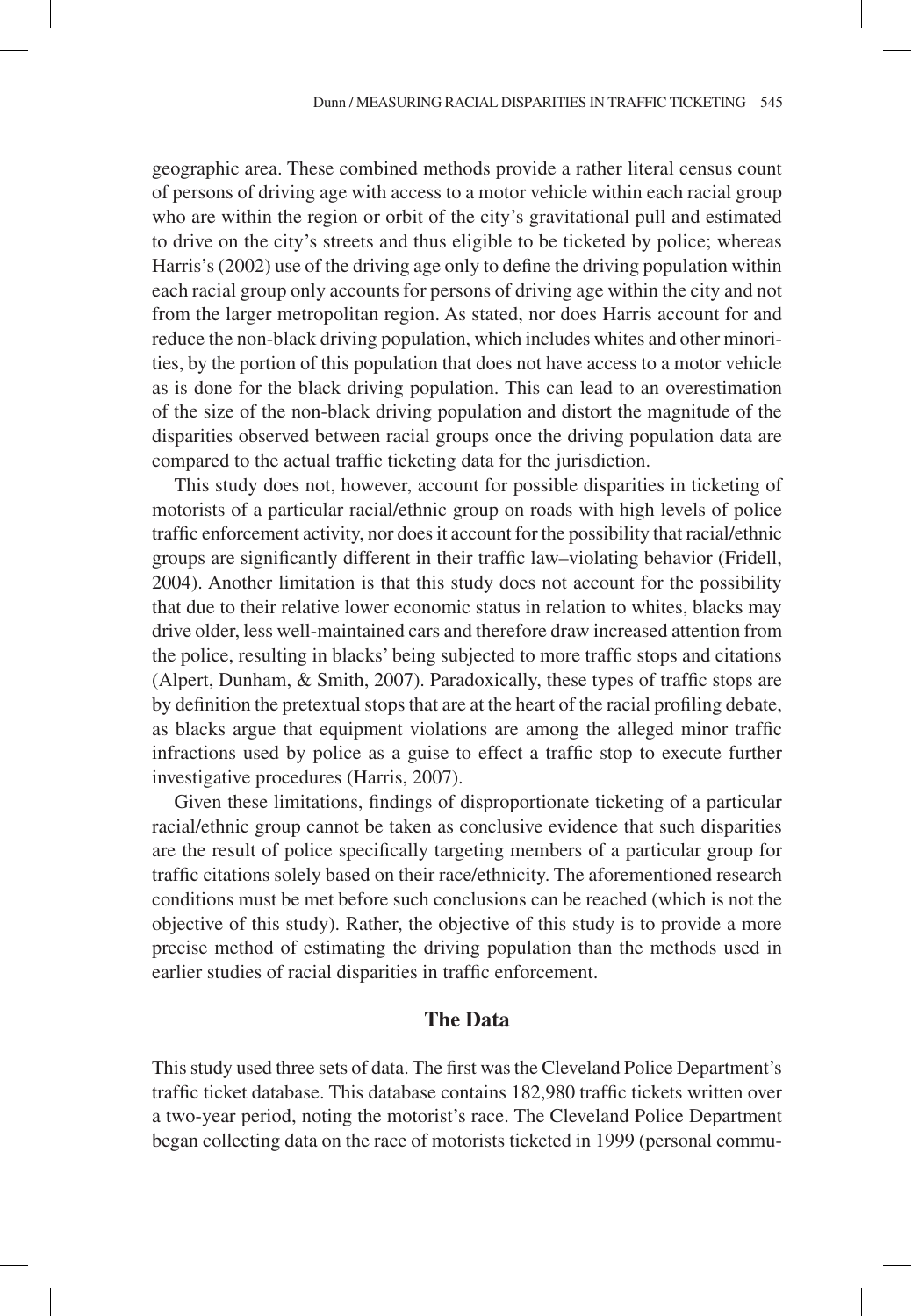geographic area. These combined methods provide a rather literal census count of persons of driving age with access to a motor vehicle within each racial group who are within the region or orbit of the city's gravitational pull and estimated to drive on the city's streets and thus eligible to be ticketed by police; whereas Harris's (2002) use of the driving age only to define the driving population within each racial group only accounts for persons of driving age within the city and not from the larger metropolitan region. As stated, nor does Harris account for and reduce the non-black driving population, which includes whites and other minorities, by the portion of this population that does not have access to a motor vehicle as is done for the black driving population. This can lead to an overestimation of the size of the non-black driving population and distort the magnitude of the disparities observed between racial groups once the driving population data are compared to the actual traffic ticketing data for the jurisdiction.

This study does not, however, account for possible disparities in ticketing of motorists of a particular racial/ethnic group on roads with high levels of police traffic enforcement activity, nor does it account for the possibility that racial/ethnic groups are significantly different in their traffic law–violating behavior (Fridell, 2004). Another limitation is that this study does not account for the possibility that due to their relative lower economic status in relation to whites, blacks may drive older, less well-maintained cars and therefore draw increased attention from the police, resulting in blacks' being subjected to more traffic stops and citations (Alpert, Dunham, & Smith, 2007). Paradoxically, these types of traffic stops are by definition the pretextual stops that are at the heart of the racial profiling debate, as blacks argue that equipment violations are among the alleged minor traffic infractions used by police as a guise to effect a traffic stop to execute further investigative procedures (Harris, 2007).

Given these limitations, findings of disproportionate ticketing of a particular racial/ethnic group cannot be taken as conclusive evidence that such disparities are the result of police specifically targeting members of a particular group for traffic citations solely based on their race/ethnicity. The aforementioned research conditions must be met before such conclusions can be reached (which is not the objective of this study). Rather, the objective of this study is to provide a more precise method of estimating the driving population than the methods used in earlier studies of racial disparities in traffic enforcement.

# **The Data**

This study used three sets of data. The first was the Cleveland Police Department's traffic ticket database. This database contains 182,980 traffic tickets written over a two-year period, noting the motorist's race. The Cleveland Police Department began collecting data on the race of motorists ticketed in 1999 (personal commu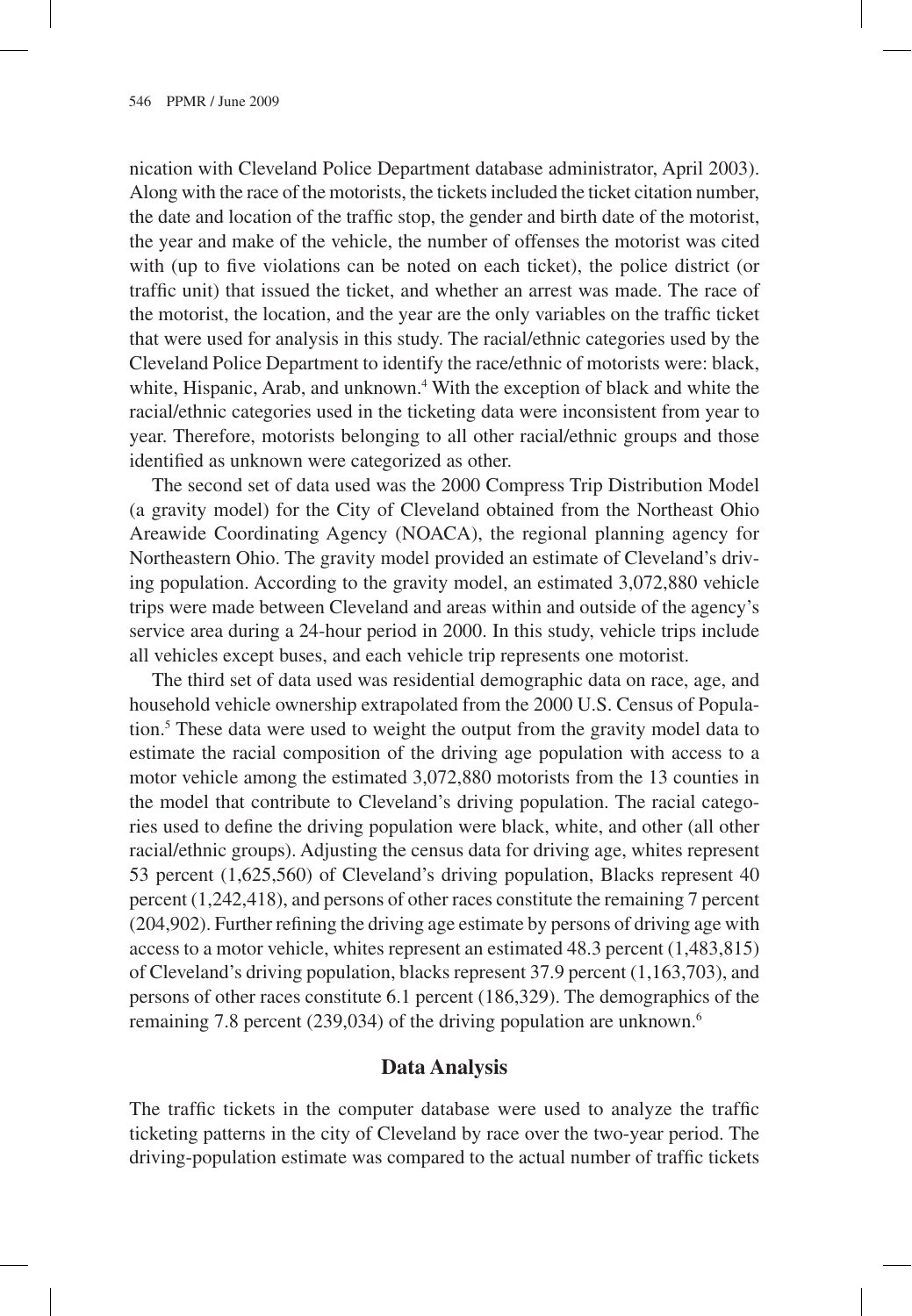nication with Cleveland Police Department database administrator, April 2003). Along with the race of the motorists, the tickets included the ticket citation number, the date and location of the traffic stop, the gender and birth date of the motorist, the year and make of the vehicle, the number of offenses the motorist was cited with (up to five violations can be noted on each ticket), the police district (or traffic unit) that issued the ticket, and whether an arrest was made. The race of the motorist, the location, and the year are the only variables on the traffic ticket that were used for analysis in this study. The racial/ethnic categories used by the Cleveland Police Department to identify the race/ethnic of motorists were: black, white, Hispanic, Arab, and unknown.<sup>4</sup> With the exception of black and white the racial/ethnic categories used in the ticketing data were inconsistent from year to year. Therefore, motorists belonging to all other racial/ethnic groups and those identified as unknown were categorized as other.

The second set of data used was the 2000 Compress Trip Distribution Model (a gravity model) for the City of Cleveland obtained from the Northeast Ohio Areawide Coordinating Agency (NOACA), the regional planning agency for Northeastern Ohio. The gravity model provided an estimate of Cleveland's driving population. According to the gravity model, an estimated 3,072,880 vehicle trips were made between Cleveland and areas within and outside of the agency's service area during a 24-hour period in 2000. In this study, vehicle trips include all vehicles except buses, and each vehicle trip represents one motorist.

The third set of data used was residential demographic data on race, age, and household vehicle ownership extrapolated from the 2000 U.S. Census of Population.5 These data were used to weight the output from the gravity model data to estimate the racial composition of the driving age population with access to a motor vehicle among the estimated 3,072,880 motorists from the 13 counties in the model that contribute to Cleveland's driving population. The racial categories used to define the driving population were black, white, and other (all other racial/ethnic groups). Adjusting the census data for driving age, whites represent 53 percent (1,625,560) of Cleveland's driving population, Blacks represent 40 percent (1,242,418), and persons of other races constitute the remaining 7 percent (204,902). Further refining the driving age estimate by persons of driving age with access to a motor vehicle, whites represent an estimated 48.3 percent (1,483,815) of Cleveland's driving population, blacks represent 37.9 percent (1,163,703), and persons of other races constitute 6.1 percent (186,329). The demographics of the remaining 7.8 percent (239,034) of the driving population are unknown.<sup>6</sup>

# **Data Analysis**

The traffic tickets in the computer database were used to analyze the traffic ticketing patterns in the city of Cleveland by race over the two-year period. The driving-population estimate was compared to the actual number of traffic tickets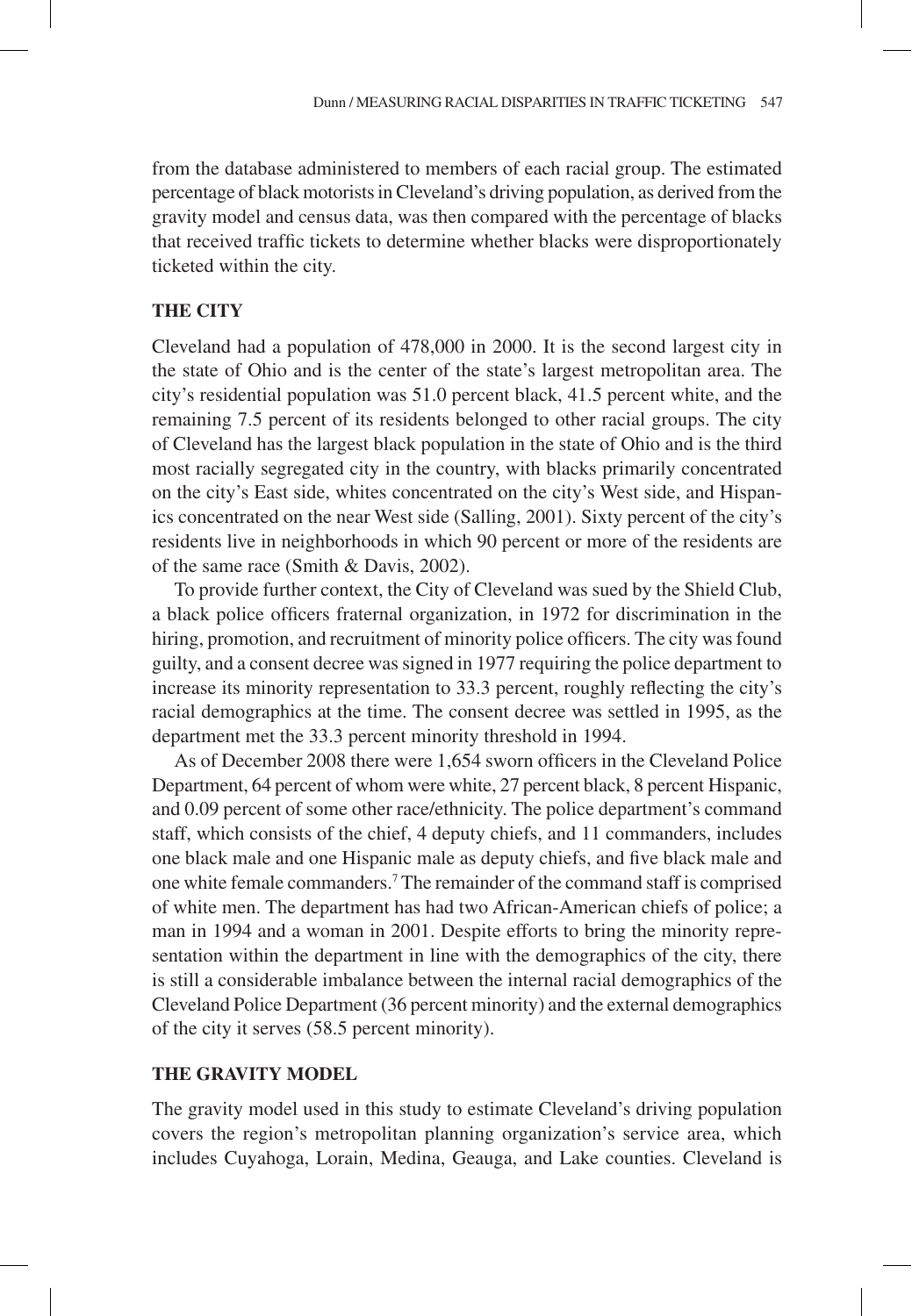from the database administered to members of each racial group. The estimated percentage of black motorists in Cleveland's driving population, as derived from the gravity model and census data, was then compared with the percentage of blacks that received traffic tickets to determine whether blacks were disproportionately ticketed within the city.

## **The City**

Cleveland had a population of 478,000 in 2000. It is the second largest city in the state of Ohio and is the center of the state's largest metropolitan area. The city's residential population was 51.0 percent black, 41.5 percent white, and the remaining 7.5 percent of its residents belonged to other racial groups. The city of Cleveland has the largest black population in the state of Ohio and is the third most racially segregated city in the country, with blacks primarily concentrated on the city's East side, whites concentrated on the city's West side, and Hispanics concentrated on the near West side (Salling, 2001). Sixty percent of the city's residents live in neighborhoods in which 90 percent or more of the residents are of the same race (Smith & Davis, 2002).

To provide further context, the city of Cleveland was sued by the Shield Club, a black police officers fraternal organization, in 1972 for discrimination in the hiring, promotion, and recruitment of minority police officers. The city was found guilty, and a consent decree was signed in 1977 requiring the police department to increase its minority representation to 33.3 percent, roughly reflecting the city's racial demographics at the time. The consent decree was settled in 1995, as the department met the 33.3 percent minority threshold in 1994.

As of December 2008 there were 1,654 sworn officers in the Cleveland Police Department, 64 percent of whom were white, 27 percent black, 8 percent Hispanic, and 0.09 percent of some other race/ethnicity. The police department's command staff, which consists of the chief, 4 deputy chiefs, and 11 commanders, includes one black male and one Hispanic male as deputy chiefs, and five black male and one white female commanders.7 The remainder of the command staff is comprised of white men. The department has had two African-American chiefs of police; a man in 1994 and a woman in 2001. Despite efforts to bring the minority representation within the department in line with the demographics of the city, there is still a considerable imbalance between the internal racial demographics of the Cleveland Police Department (36 percent minority) and the external demographics of the city it serves (58.5 percent minority).

#### **The Gravity Model**

The gravity model used in this study to estimate Cleveland's driving population covers the region's metropolitan planning organization's service area, which includes Cuyahoga, Lorain, Medina, Geauga, and Lake counties. Cleveland is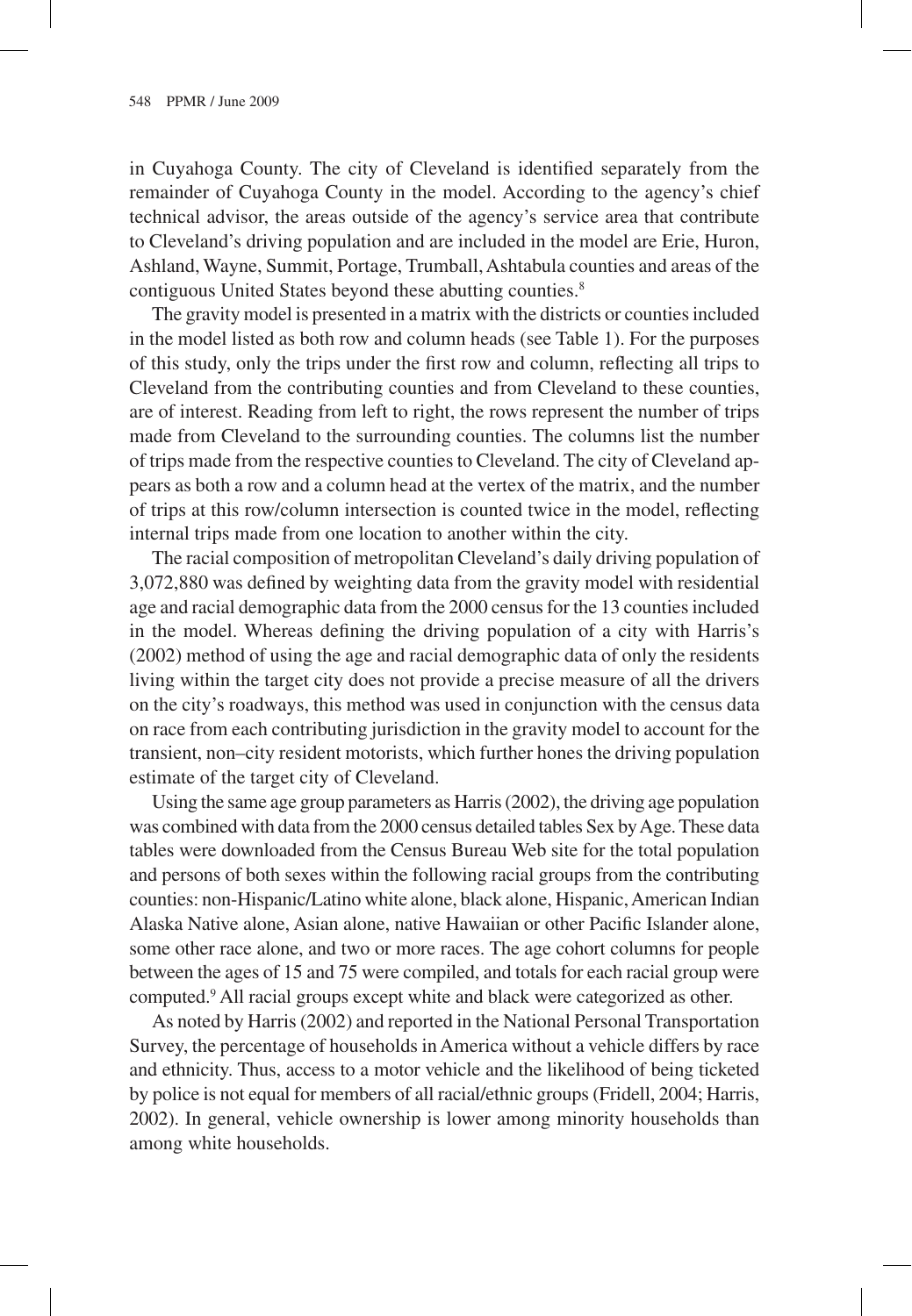in Cuyahoga County. The city of Cleveland is identified separately from the remainder of Cuyahoga County in the model. According to the agency's chief technical advisor, the areas outside of the agency's service area that contribute to Cleveland's driving population and are included in the model are Erie, Huron, Ashland, Wayne, Summit, Portage, Trumball, Ashtabula counties and areas of the contiguous United States beyond these abutting counties.<sup>8</sup>

The gravity model is presented in a matrix with the districts or counties included in the model listed as both row and column heads (see Table 1). For the purposes of this study, only the trips under the first row and column, reflecting all trips to Cleveland from the contributing counties and from Cleveland to these counties, are of interest. Reading from left to right, the rows represent the number of trips made from Cleveland to the surrounding counties. The columns list the number of trips made from the respective counties to Cleveland. The city of Cleveland appears as both a row and a column head at the vertex of the matrix, and the number of trips at this row/column intersection is counted twice in the model, reflecting internal trips made from one location to another within the city.

The racial composition of metropolitan Cleveland's daily driving population of 3,072,880 was defined by weighting data from the gravity model with residential age and racial demographic data from the 2000 census for the 13 counties included in the model. Whereas defining the driving population of a city with Harris's (2002) method of using the age and racial demographic data of only the residents living within the target city does not provide a precise measure of all the drivers on the city's roadways, this method was used in conjunction with the census data on race from each contributing jurisdiction in the gravity model to account for the transient, non–city resident motorists, which further hones the driving population estimate of the target city of Cleveland.

Using the same age group parameters as Harris (2002), the driving age population was combined with data from the 2000 census detailed tables Sex by Age. These data tables were downloaded from the Census Bureau Web site for the total population and persons of both sexes within the following racial groups from the contributing counties: non-Hispanic/Latino white alone, black alone, Hispanic, American Indian Alaska Native alone, Asian alone, native Hawaiian or other Pacific Islander alone, some other race alone, and two or more races. The age cohort columns for people between the ages of 15 and 75 were compiled, and totals for each racial group were computed.9 All racial groups except white and black were categorized as other.

As noted by Harris (2002) and reported in the National Personal Transportation Survey, the percentage of households in America without a vehicle differs by race and ethnicity. Thus, access to a motor vehicle and the likelihood of being ticketed by police is not equal for members of all racial/ethnic groups (Fridell, 2004; Harris, 2002). In general, vehicle ownership is lower among minority households than among white households.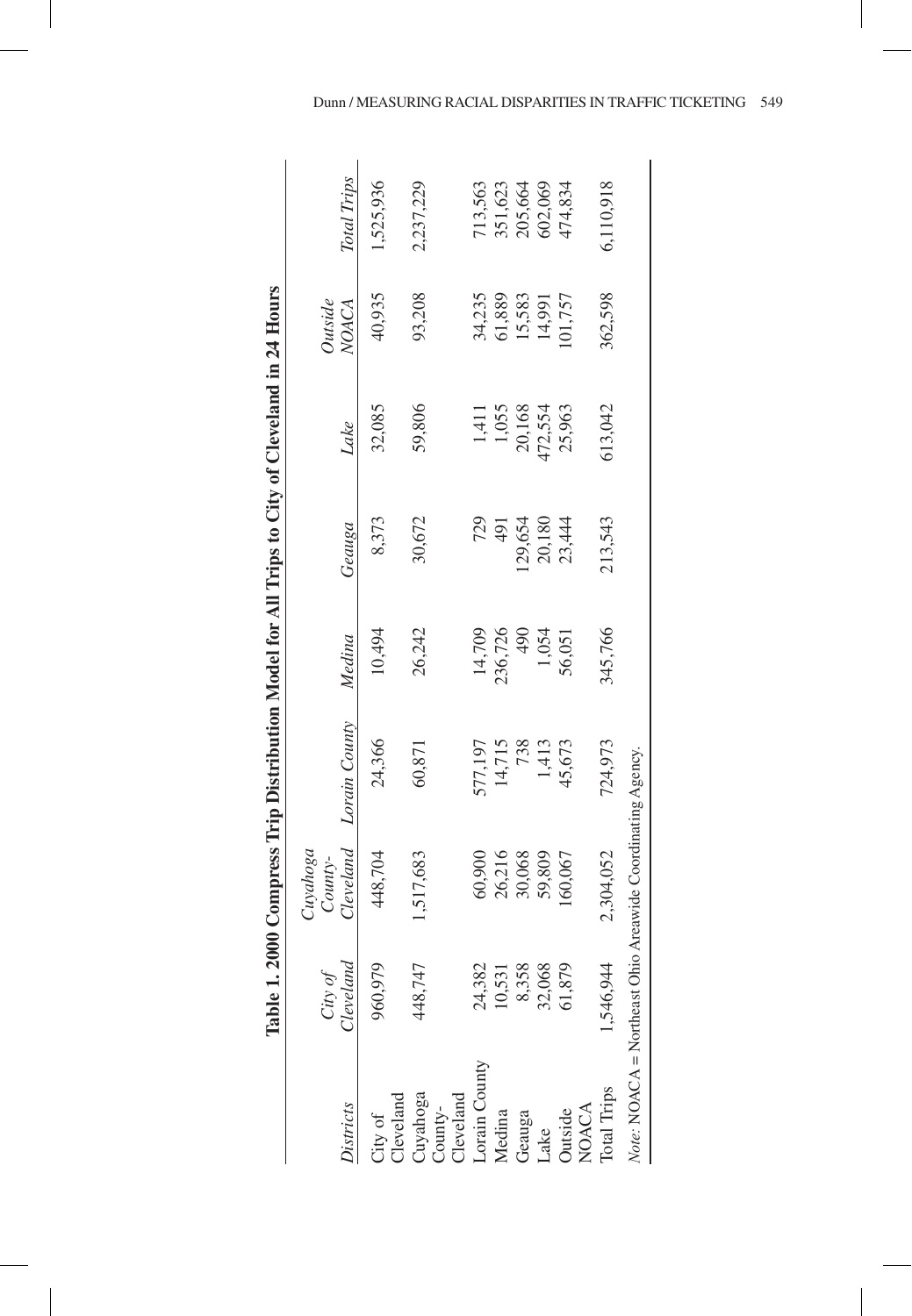| ;                                                               |
|-----------------------------------------------------------------|
|                                                                 |
|                                                                 |
|                                                                 |
|                                                                 |
|                                                                 |
|                                                                 |
|                                                                 |
|                                                                 |
|                                                                 |
| ı<br>֖֖֖֢ׅ֖֖֖֖ׅ֖֧֧ׅ֪֪֧֚֚֚֚֚֚֚֚֚֚֚֚֚֚֚֚֚֚֚֚֚֚֚֚֚֚֚֬֝֓֞֝֬֓֞֬֝֓֞֝֬ |
| :<br>!<br>֓֕֡                                                   |
|                                                                 |
|                                                                 |
|                                                                 |
|                                                                 |
|                                                                 |
|                                                                 |
|                                                                 |
|                                                                 |
| i                                                               |
| 1<br>i<br>ׇ֚֘֡<br>֚֚                                            |
|                                                                 |
| ı                                                               |
|                                                                 |
| ļ                                                               |
|                                                                 |
|                                                                 |
|                                                                 |
| י                                                               |

| districts                                                                              | City of<br>Cleveland | Cuyahoga<br>County-<br>Cleveland | Lorain County   | Medina  | Geauga  | Lake              | Outside<br>NOACA | Total Trips |
|----------------------------------------------------------------------------------------|----------------------|----------------------------------|-----------------|---------|---------|-------------------|------------------|-------------|
|                                                                                        | 960,979              | 448,704                          | 24,366          | 10,494  | 8,373   | 32,085            | 40,935           | 1,525,936   |
| City of<br>Cleveland<br>Clyahoga<br>County-<br>Cleveland<br>Cleveland<br>Lorain County | 448,747              | 1,517,683                        | 60,871          | 26,242  | 30,672  | 59,806            | 93,208           | 2,237,229   |
|                                                                                        | 24,382               | 60,900                           | 577,197         | 14,709  |         | 1,411             | 34,235           | 713,563     |
|                                                                                        | 10,531               |                                  | 14,715          | 236,726 | 491     | 1,055             |                  | 351,623     |
| Medina<br>Geauga                                                                       | 8,358                | 26,216<br>30,068                 | 738             | 06t     | 129,654 |                   | 61,889<br>15,583 | 205,664     |
| Lake                                                                                   | 32,068<br>61.879     | 59,809                           | 1,413<br>45,673 | 1,054   | 20,180  | 20,168<br>472,554 | 14,991           | 602,069     |
| Outside<br>NOACA                                                                       | 879                  | 160,067                          |                 | 56,051  | 23,444  | 25,963            | 01,757           | 174,834     |
|                                                                                        |                      |                                  |                 |         |         |                   |                  |             |
| <b>Total Trips</b>                                                                     | ,546,944             | 2,304,052                        | 724,973         | 345,766 | 213,543 | 0.13,042          | 862,598          | 5,110,918   |
| Note: NOACA = Northeast Ohio Areawide Coordinating Agency                              |                      |                                  |                 |         |         |                   |                  |             |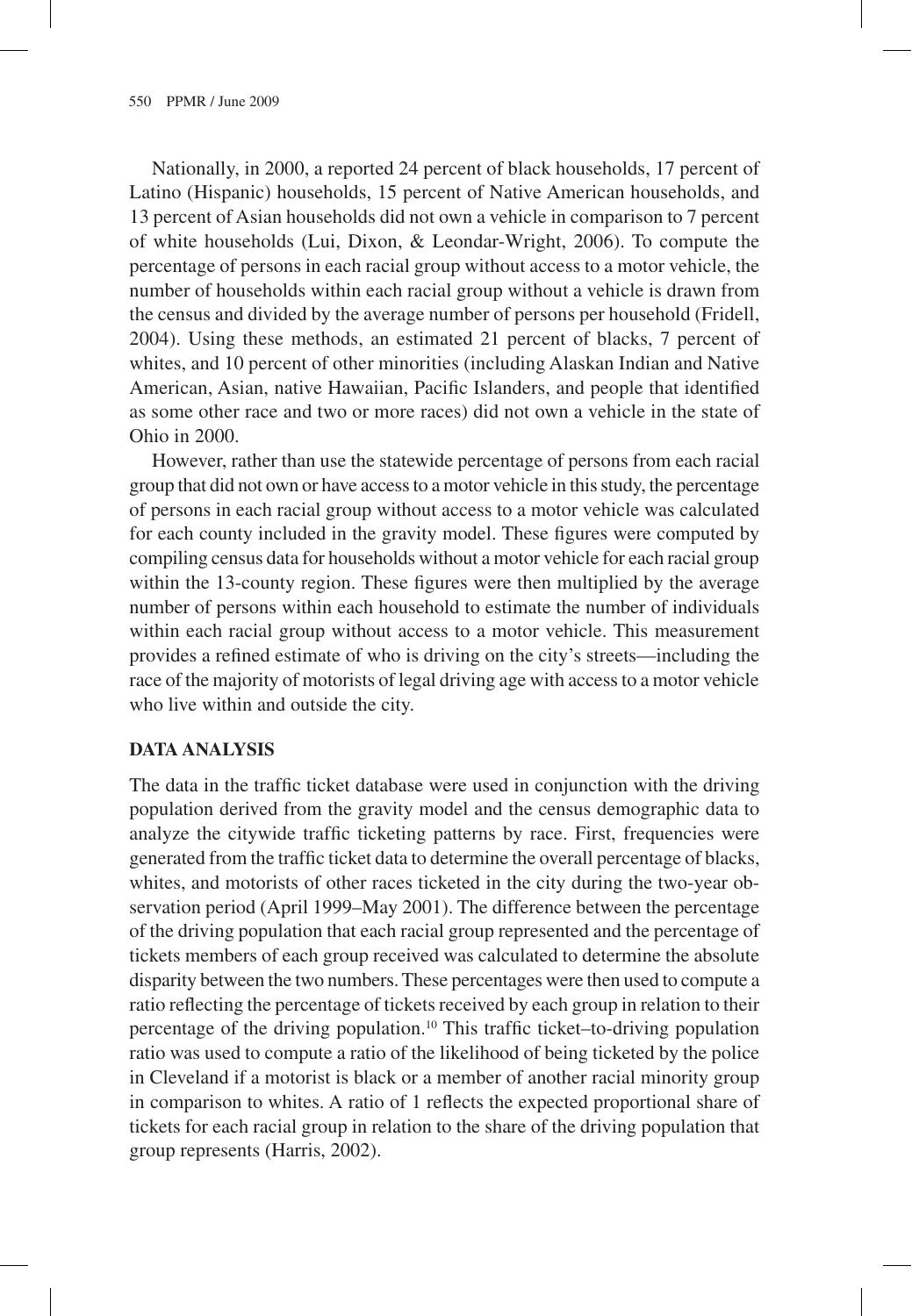Nationally, in 2000, a reported 24 percent of black households, 17 percent of Latino (Hispanic) households, 15 percent of Native American households, and 13 percent of Asian households did not own a vehicle in comparison to 7 percent of white households (Lui, Dixon, & Leondar-Wright, 2006). To compute the percentage of persons in each racial group without access to a motor vehicle, the number of households within each racial group without a vehicle is drawn from the census and divided by the average number of persons per household (Fridell, 2004). Using these methods, an estimated 21 percent of blacks, 7 percent of whites, and 10 percent of other minorities (including Alaskan Indian and Native American, Asian, native Hawaiian, Pacific Islanders, and people that identified as some other race and two or more races) did not own a vehicle in the state of Ohio in 2000.

However, rather than use the statewide percentage of persons from each racial group that did not own or have access to a motor vehicle in this study, the percentage of persons in each racial group without access to a motor vehicle was calculated for each county included in the gravity model. These figures were computed by compiling census data for households without a motor vehicle for each racial group within the 13-county region. These figures were then multiplied by the average number of persons within each household to estimate the number of individuals within each racial group without access to a motor vehicle. This measurement provides a refined estimate of who is driving on the city's streets—including the race of the majority of motorists of legal driving age with access to a motor vehicle who live within and outside the city.

# **Data Analysis**

The data in the traffic ticket database were used in conjunction with the driving population derived from the gravity model and the census demographic data to analyze the citywide traffic ticketing patterns by race. First, frequencies were generated from the traffic ticket data to determine the overall percentage of blacks, whites, and motorists of other races ticketed in the city during the two-year observation period (April 1999–May 2001). The difference between the percentage of the driving population that each racial group represented and the percentage of tickets members of each group received was calculated to determine the absolute disparity between the two numbers. These percentages were then used to compute a ratio reflecting the percentage of tickets received by each group in relation to their percentage of the driving population.10 This traffic ticket–to-driving population ratio was used to compute a ratio of the likelihood of being ticketed by the police in Cleveland if a motorist is black or a member of another racial minority group in comparison to whites. A ratio of 1 reflects the expected proportional share of tickets for each racial group in relation to the share of the driving population that group represents (Harris, 2002).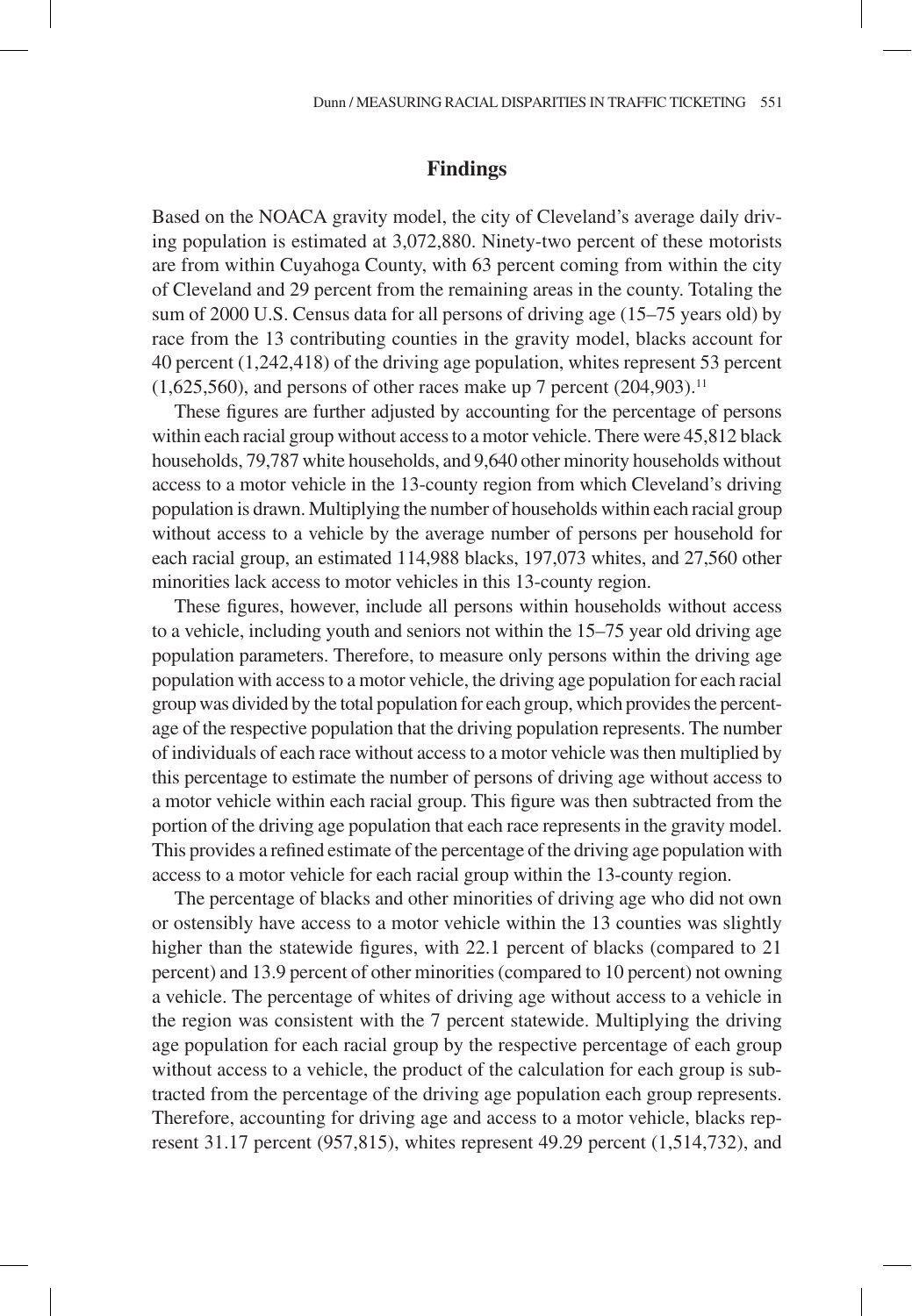## **Findings**

Based on the NOACA gravity model, the city of Cleveland's average daily driving population is estimated at 3,072,880. Ninety-two percent of these motorists are from within Cuyahoga County, with 63 percent coming from within the city of Cleveland and 29 percent from the remaining areas in the county. Totaling the sum of 2000 U.S. Census data for all persons of driving age (15–75 years old) by race from the 13 contributing counties in the gravity model, blacks account for 40 percent (1,242,418) of the driving age population, whites represent 53 percent  $(1,625,560)$ , and persons of other races make up 7 percent  $(204,903)$ .<sup>11</sup>

These figures are further adjusted by accounting for the percentage of persons within each racial group without access to a motor vehicle. There were 45,812 black households, 79,787 white households, and 9,640 other minority households without access to a motor vehicle in the 13-county region from which Cleveland's driving population is drawn. Multiplying the number of households within each racial group without access to a vehicle by the average number of persons per household for each racial group, an estimated 114,988 blacks, 197,073 whites, and 27,560 other minorities lack access to motor vehicles in this 13-county region.

These figures, however, include all persons within households without access to a vehicle, including youth and seniors not within the 15–75 year old driving age population parameters. Therefore, to measure only persons within the driving age population with access to a motor vehicle, the driving age population for each racial group was divided by the total population for each group, which provides the percentage of the respective population that the driving population represents. The number of individuals of each race without access to a motor vehicle was then multiplied by this percentage to estimate the number of persons of driving age without access to a motor vehicle within each racial group. This figure was then subtracted from the portion of the driving age population that each race represents in the gravity model. This provides a refined estimate of the percentage of the driving age population with access to a motor vehicle for each racial group within the 13-county region.

The percentage of blacks and other minorities of driving age who did not own or ostensibly have access to a motor vehicle within the 13 counties was slightly higher than the statewide figures, with 22.1 percent of blacks (compared to 21 percent) and 13.9 percent of other minorities (compared to 10 percent) not owning a vehicle. The percentage of whites of driving age without access to a vehicle in the region was consistent with the 7 percent statewide. Multiplying the driving age population for each racial group by the respective percentage of each group without access to a vehicle, the product of the calculation for each group is subtracted from the percentage of the driving age population each group represents. Therefore, accounting for driving age and access to a motor vehicle, blacks represent 31.17 percent (957,815), whites represent 49.29 percent (1,514,732), and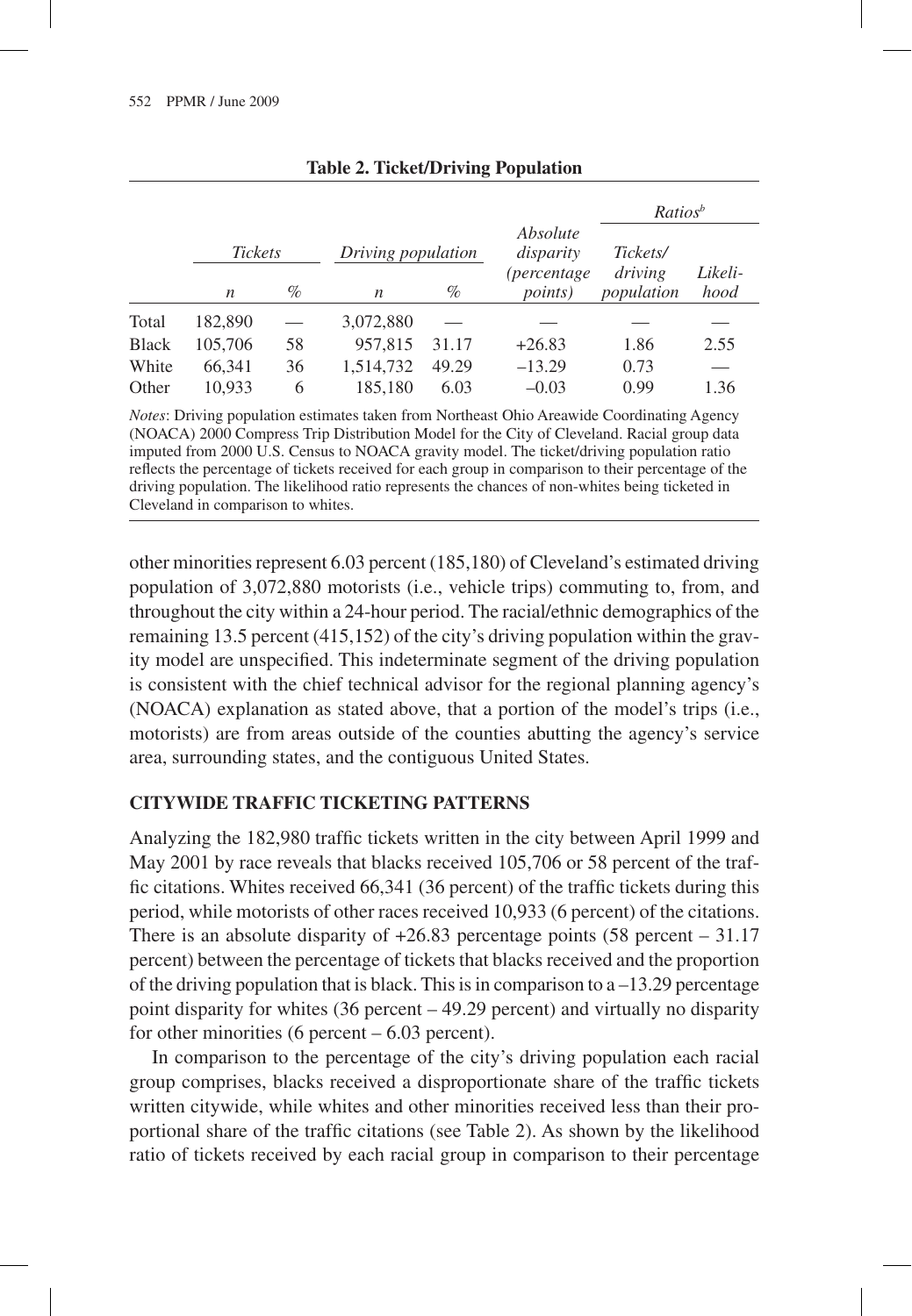|              |                |    |                    |       |                                        | Ratios <sup>b</sup>   |                 |
|--------------|----------------|----|--------------------|-------|----------------------------------------|-----------------------|-----------------|
|              | <b>Tickets</b> |    | Driving population |       | Absolute<br>disparity                  | Tickets/              |                 |
|              | n              | %  | n                  | $\%$  | <i>(percentage)</i><br><i>points</i> ) | driving<br>population | Likeli-<br>hood |
| Total        | 182,890        |    | 3,072,880          |       |                                        |                       |                 |
| <b>Black</b> | 105,706        | 58 | 957,815            | 31.17 | $+26.83$                               | 1.86                  | 2.55            |
| White        | 66,341         | 36 | 1,514,732          | 49.29 | $-13.29$                               | 0.73                  |                 |
| Other        | 10.933         | 6  | 185.180            | 6.03  | $-0.03$                                | 0.99                  | 1.36            |

## **Table 2. Ticket/Driving Population**

*Notes*: Driving population estimates taken from Northeast Ohio Areawide Coordinating Agency (NOACA) 2000 Compress Trip Distribution Model for the City of Cleveland. Racial group data imputed from 2000 U.S. Census to NOACA gravity model. The ticket/driving population ratio reflects the percentage of tickets received for each group in comparison to their percentage of the driving population. The likelihood ratio represents the chances of non-whites being ticketed in Cleveland in comparison to whites.

other minorities represent 6.03 percent (185,180) of Cleveland's estimated driving population of 3,072,880 motorists (i.e., vehicle trips) commuting to, from, and throughout the city within a 24-hour period. The racial/ethnic demographics of the remaining 13.5 percent (415,152) of the city's driving population within the gravity model are unspecified. This indeterminate segment of the driving population is consistent with the chief technical advisor for the regional planning agency's (NOACA) explanation as stated above, that a portion of the model's trips (i.e., motorists) are from areas outside of the counties abutting the agency's service area, surrounding states, and the contiguous United States.

#### **Citywide Traffic Ticketing Patterns**

Analyzing the 182,980 traffic tickets written in the city between April 1999 and May 2001 by race reveals that blacks received 105,706 or 58 percent of the traffic citations. Whites received 66,341 (36 percent) of the traffic tickets during this period, while motorists of other races received 10,933 (6 percent) of the citations. There is an absolute disparity of  $+26.83$  percentage points (58 percent – 31.17 percent) between the percentage of tickets that blacks received and the proportion of the driving population that is black. This is in comparison to  $a - 13.29$  percentage point disparity for whites (36 percent – 49.29 percent) and virtually no disparity for other minorities (6 percent  $-6.03$  percent).

In comparison to the percentage of the city's driving population each racial group comprises, blacks received a disproportionate share of the traffic tickets written citywide, while whites and other minorities received less than their proportional share of the traffic citations (see Table 2). As shown by the likelihood ratio of tickets received by each racial group in comparison to their percentage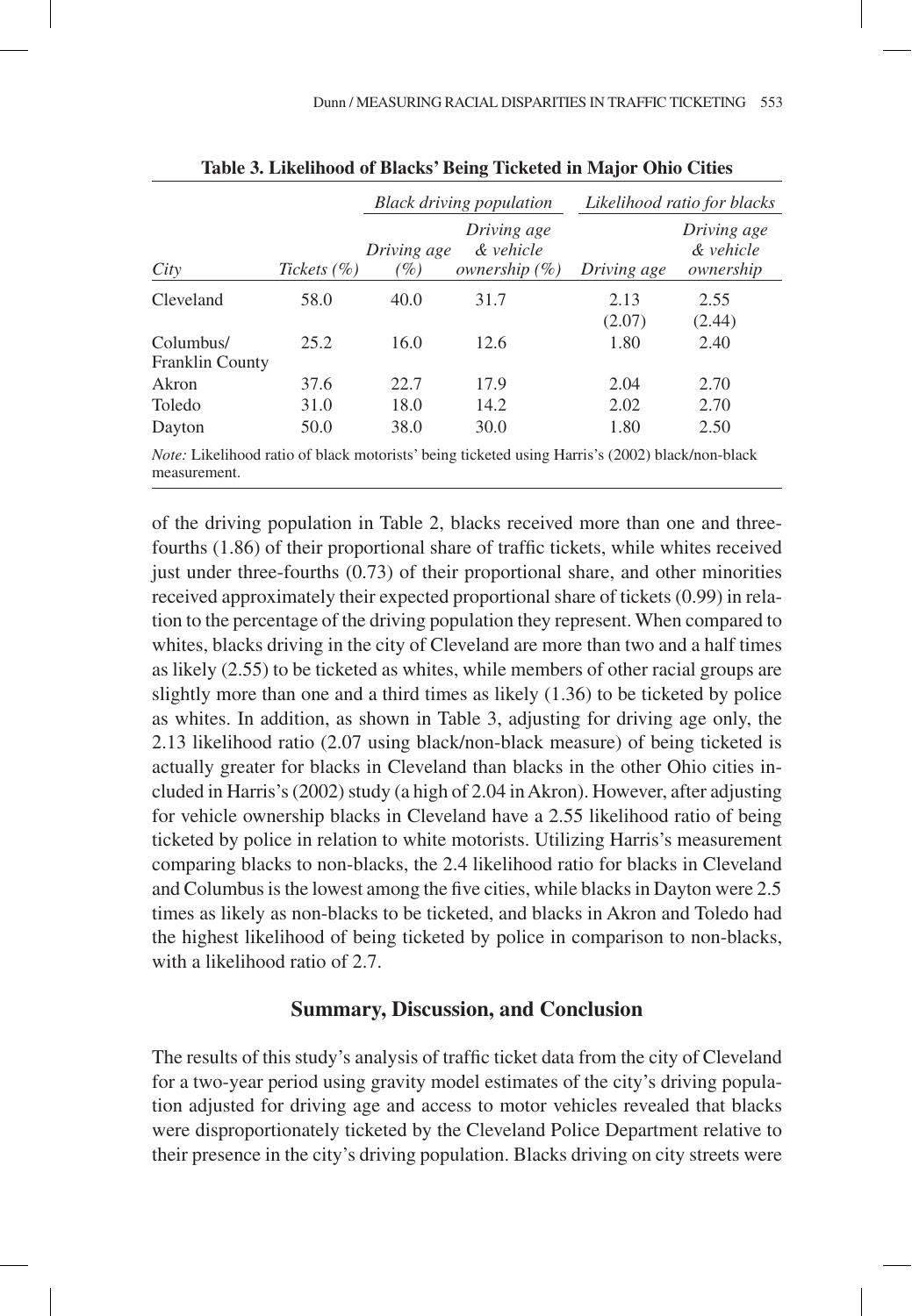|                                                                                                                        |             |                       | <b>Black driving population</b>                     | Likelihood ratio for blacks |                                       |
|------------------------------------------------------------------------------------------------------------------------|-------------|-----------------------|-----------------------------------------------------|-----------------------------|---------------------------------------|
| City                                                                                                                   | Tickets (%) | Driving age<br>$(\%)$ | Driving age<br>& vehicle<br><i>ownership</i> $(\%)$ | Driving age                 | Driving age<br>& vehicle<br>ownership |
| Cleveland                                                                                                              | 58.0        | 40.0                  | 31.7                                                | 2.13                        | 2.55                                  |
| Columbus/<br><b>Franklin County</b>                                                                                    | 25.2        | 16.0                  | 12.6                                                | (2.07)<br>1.80              | (2.44)<br>2.40                        |
| Akron                                                                                                                  | 37.6        | 22.7                  | 17.9                                                | 2.04                        | 2.70                                  |
| Toledo                                                                                                                 | 31.0        | 18.0                  | 14.2                                                | 2.02                        | 2.70                                  |
| Dayton                                                                                                                 | 50.0        | 38.0                  | 30.0                                                | 1.80                        | 2.50                                  |
| <i>Note:</i> Likelihood ratio of black motorists' being ticketed using Harris's (2002) black/non-black<br>measurement. |             |                       |                                                     |                             |                                       |

| Table 3. Likelihood of Blacks' Being Ticketed in Major Ohio Cities |  |  |  |
|--------------------------------------------------------------------|--|--|--|
|--------------------------------------------------------------------|--|--|--|

of the driving population in Table 2, blacks received more than one and threefourths (1.86) of their proportional share of traffic tickets, while whites received just under three-fourths (0.73) of their proportional share, and other minorities received approximately their expected proportional share of tickets (0.99) in relation to the percentage of the driving population they represent. When compared to whites, blacks driving in the city of Cleveland are more than two and a half times as likely (2.55) to be ticketed as whites, while members of other racial groups are slightly more than one and a third times as likely (1.36) to be ticketed by police as whites. In addition, as shown in Table 3, adjusting for driving age only, the 2.13 likelihood ratio (2.07 using black/non-black measure) of being ticketed is actually greater for blacks in Cleveland than blacks in the other Ohio cities included in Harris's (2002) study (a high of 2.04 in Akron). However, after adjusting for vehicle ownership blacks in Cleveland have a 2.55 likelihood ratio of being ticketed by police in relation to white motorists. Utilizing Harris's measurement comparing blacks to non-blacks, the 2.4 likelihood ratio for blacks in Cleveland and Columbus is the lowest among the five cities, while blacks in Dayton were 2.5 times as likely as non-blacks to be ticketed, and blacks in Akron and Toledo had the highest likelihood of being ticketed by police in comparison to non-blacks, with a likelihood ratio of 2.7.

#### **Summary, Discussion, and Conclusion**

The results of this study's analysis of traffic ticket data from the city of Cleveland for a two-year period using gravity model estimates of the city's driving population adjusted for driving age and access to motor vehicles revealed that blacks were disproportionately ticketed by the Cleveland Police Department relative to their presence in the city's driving population. Blacks driving on city streets were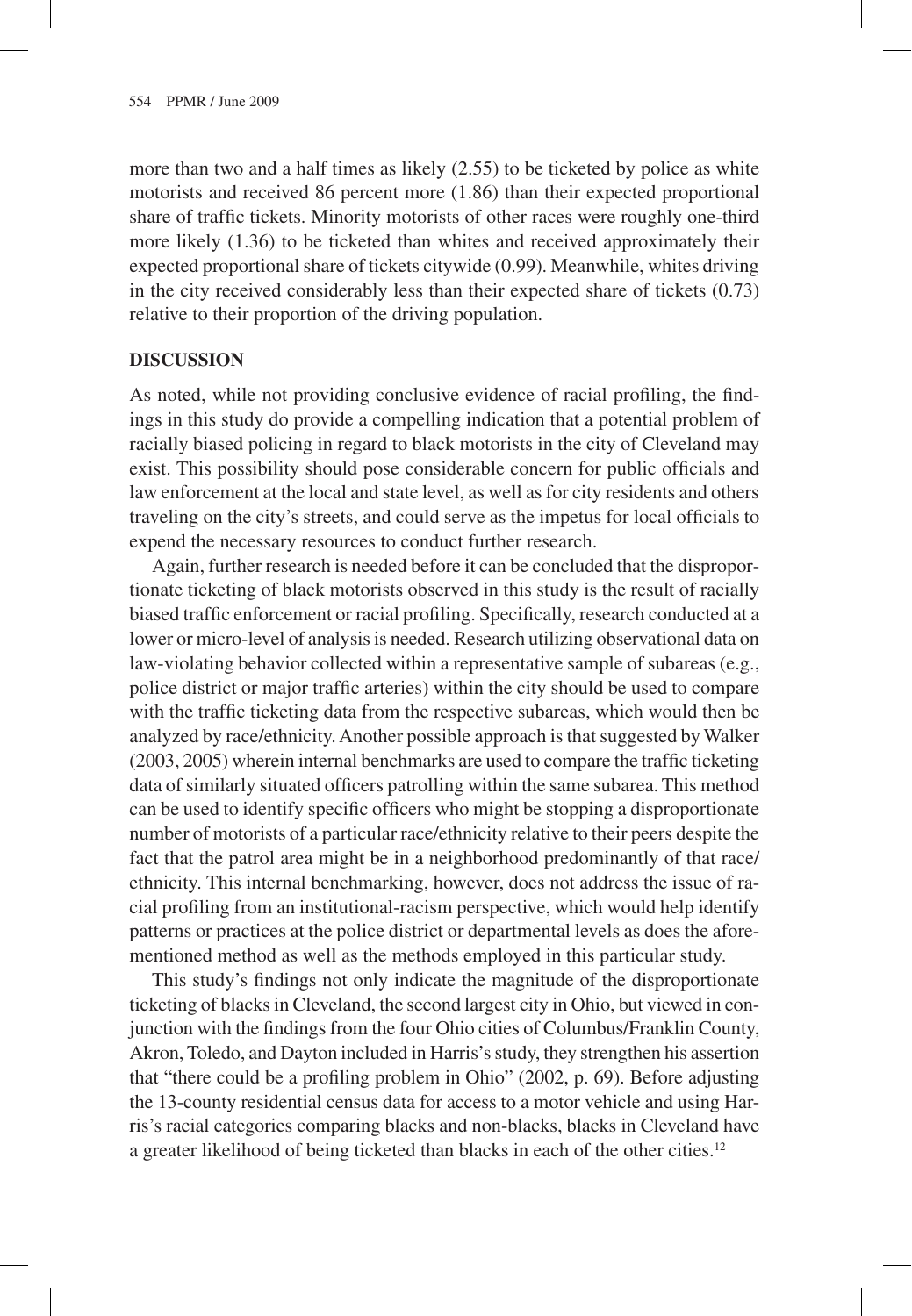more than two and a half times as likely (2.55) to be ticketed by police as white motorists and received 86 percent more (1.86) than their expected proportional share of traffic tickets. Minority motorists of other races were roughly one-third more likely (1.36) to be ticketed than whites and received approximately their expected proportional share of tickets citywide (0.99). Meanwhile, whites driving in the city received considerably less than their expected share of tickets (0.73) relative to their proportion of the driving population.

#### **Discussion**

As noted, while not providing conclusive evidence of racial profiling, the findings in this study do provide a compelling indication that a potential problem of racially biased policing in regard to black motorists in the city of Cleveland may exist. This possibility should pose considerable concern for public officials and law enforcement at the local and state level, as well as for city residents and others traveling on the city's streets, and could serve as the impetus for local officials to expend the necessary resources to conduct further research.

Again, further research is needed before it can be concluded that the disproportionate ticketing of black motorists observed in this study is the result of racially biased traffic enforcement or racial profiling. Specifically, research conducted at a lower or micro-level of analysis is needed. Research utilizing observational data on law-violating behavior collected within a representative sample of subareas (e.g., police district or major traffic arteries) within the city should be used to compare with the traffic ticketing data from the respective subareas, which would then be analyzed by race/ethnicity. Another possible approach is that suggested by Walker (2003, 2005) wherein internal benchmarks are used to compare the traffic ticketing data of similarly situated officers patrolling within the same subarea. This method can be used to identify specific officers who might be stopping a disproportionate number of motorists of a particular race/ethnicity relative to their peers despite the fact that the patrol area might be in a neighborhood predominantly of that race/ ethnicity. This internal benchmarking, however, does not address the issue of racial profiling from an institutional-racism perspective, which would help identify patterns or practices at the police district or departmental levels as does the aforementioned method as well as the methods employed in this particular study.

This study's findings not only indicate the magnitude of the disproportionate ticketing of blacks in Cleveland, the second largest city in Ohio, but viewed in conjunction with the findings from the four Ohio cities of Columbus/Franklin County, Akron, Toledo, and Dayton included in Harris's study, they strengthen his assertion that "there could be a profiling problem in Ohio" (2002, p. 69). Before adjusting the 13-county residential census data for access to a motor vehicle and using Harris's racial categories comparing blacks and non-blacks, blacks in Cleveland have a greater likelihood of being ticketed than blacks in each of the other cities.<sup>12</sup>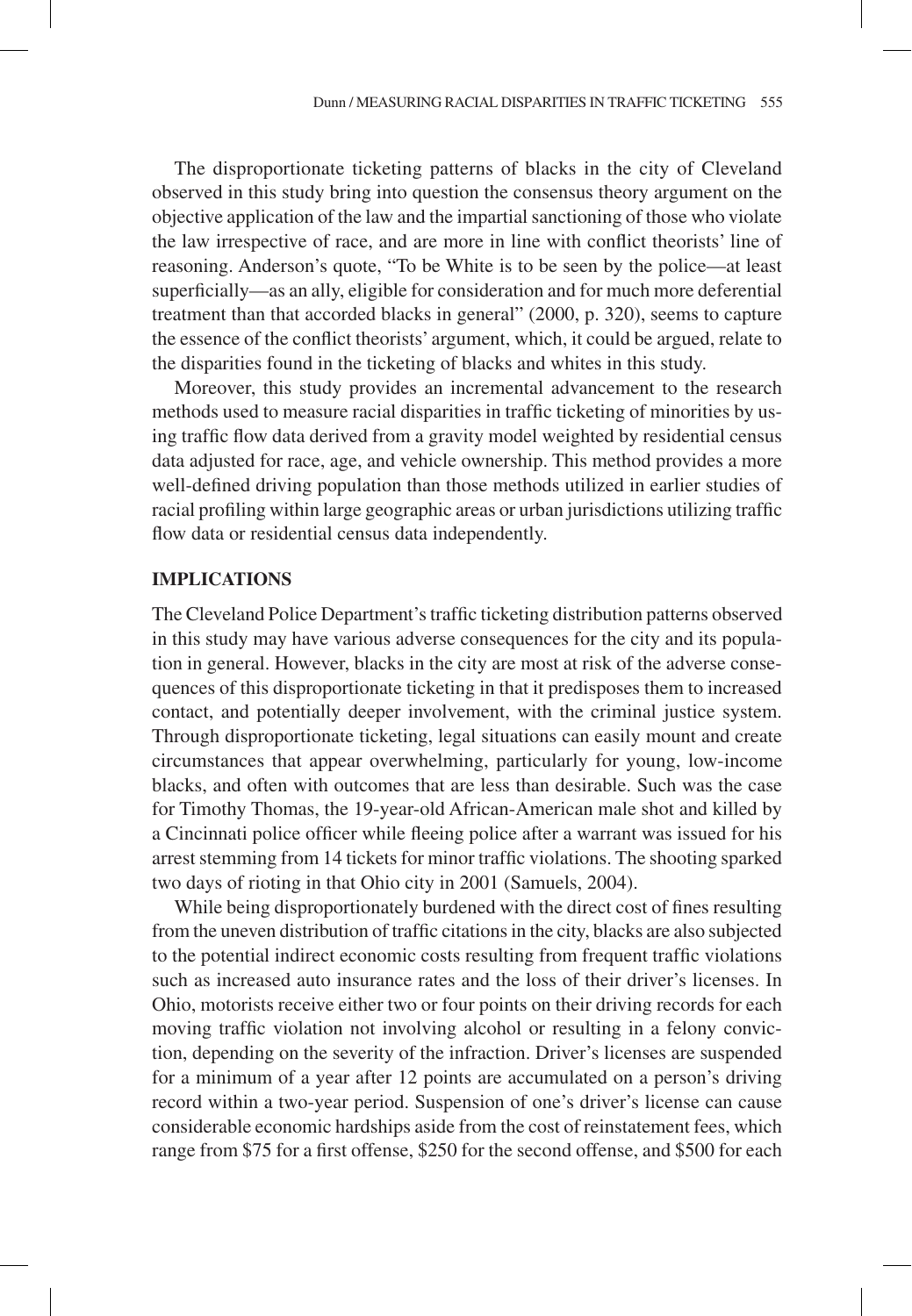The disproportionate ticketing patterns of blacks in the city of Cleveland observed in this study bring into question the consensus theory argument on the objective application of the law and the impartial sanctioning of those who violate the law irrespective of race, and are more in line with conflict theorists' line of reasoning. Anderson's quote, "To be White is to be seen by the police—at least superficially—as an ally, eligible for consideration and for much more deferential treatment than that accorded blacks in general" (2000, p. 320), seems to capture the essence of the conflict theorists' argument, which, it could be argued, relate to the disparities found in the ticketing of blacks and whites in this study.

Moreover, this study provides an incremental advancement to the research methods used to measure racial disparities in traffic ticketing of minorities by using traffic flow data derived from a gravity model weighted by residential census data adjusted for race, age, and vehicle ownership. This method provides a more well-defined driving population than those methods utilized in earlier studies of racial profiling within large geographic areas or urban jurisdictions utilizing traffic flow data or residential census data independently.

#### **Implications**

The Cleveland Police Department's traffic ticketing distribution patterns observed in this study may have various adverse consequences for the city and its population in general. However, blacks in the city are most at risk of the adverse consequences of this disproportionate ticketing in that it predisposes them to increased contact, and potentially deeper involvement, with the criminal justice system. Through disproportionate ticketing, legal situations can easily mount and create circumstances that appear overwhelming, particularly for young, low-income blacks, and often with outcomes that are less than desirable. Such was the case for Timothy Thomas, the 19-year-old African-American male shot and killed by a Cincinnati police officer while fleeing police after a warrant was issued for his arrest stemming from 14 tickets for minor traffic violations. The shooting sparked two days of rioting in that Ohio city in 2001 (Samuels, 2004).

While being disproportionately burdened with the direct cost of fines resulting from the uneven distribution of traffic citations in the city, blacks are also subjected to the potential indirect economic costs resulting from frequent traffic violations such as increased auto insurance rates and the loss of their driver's licenses. In Ohio, motorists receive either two or four points on their driving records for each moving traffic violation not involving alcohol or resulting in a felony conviction, depending on the severity of the infraction. Driver's licenses are suspended for a minimum of a year after 12 points are accumulated on a person's driving record within a two-year period. Suspension of one's driver's license can cause considerable economic hardships aside from the cost of reinstatement fees, which range from \$75 for a first offense, \$250 for the second offense, and \$500 for each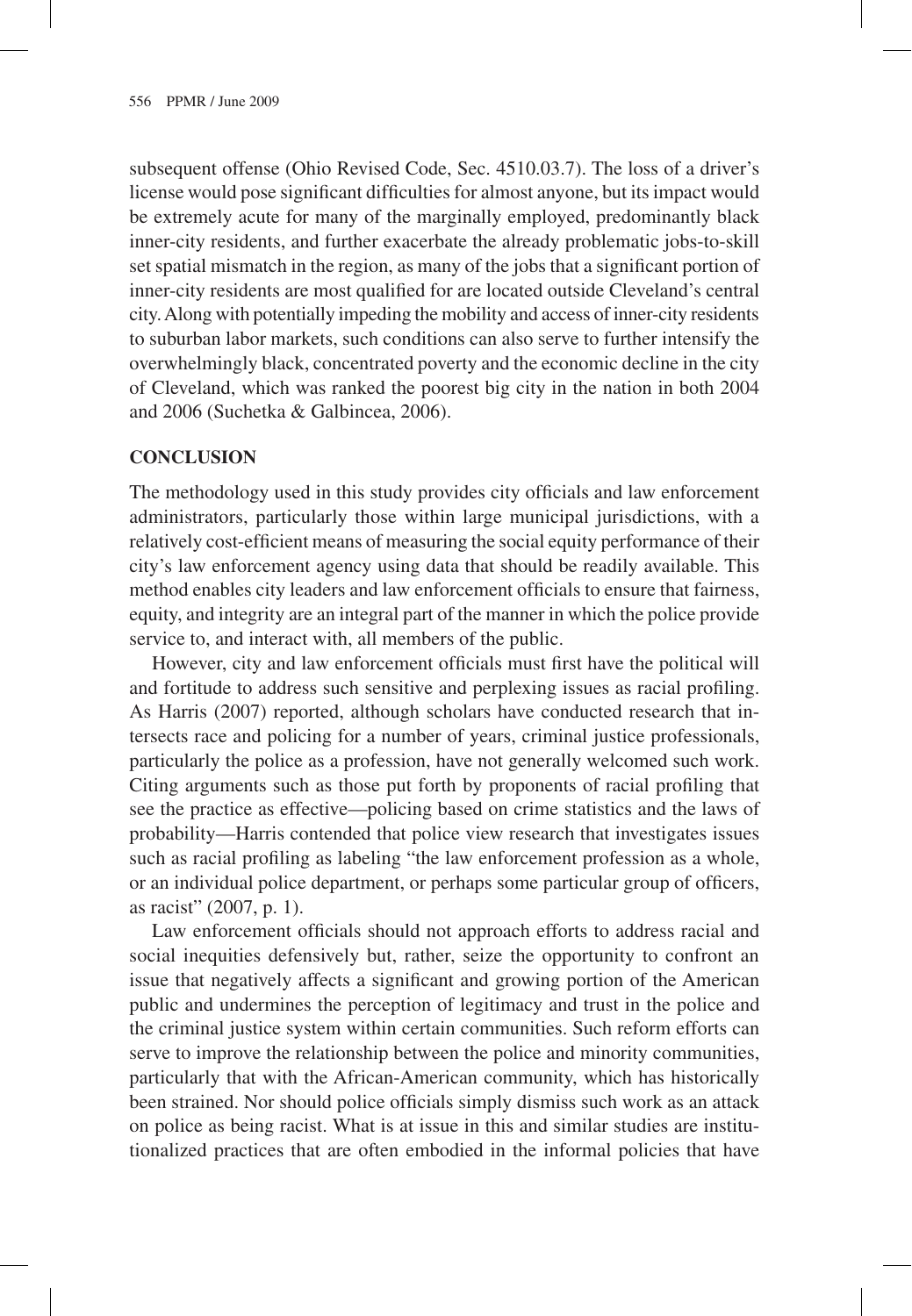subsequent offense (Ohio Revised Code, Sec. 4510.03.7). The loss of a driver's license would pose significant difficulties for almost anyone, but its impact would be extremely acute for many of the marginally employed, predominantly black inner-city residents, and further exacerbate the already problematic jobs-to-skill set spatial mismatch in the region, as many of the jobs that a significant portion of inner-city residents are most qualified for are located outside Cleveland's central city. Along with potentially impeding the mobility and access of inner-city residents to suburban labor markets, such conditions can also serve to further intensify the overwhelmingly black, concentrated poverty and the economic decline in the city of Cleveland, which was ranked the poorest big city in the nation in both 2004 and 2006 (Suchetka & Galbincea, 2006).

#### **Conclusion**

The methodology used in this study provides city officials and law enforcement administrators, particularly those within large municipal jurisdictions, with a relatively cost-efficient means of measuring the social equity performance of their city's law enforcement agency using data that should be readily available. This method enables city leaders and law enforcement officials to ensure that fairness, equity, and integrity are an integral part of the manner in which the police provide service to, and interact with, all members of the public.

However, city and law enforcement officials must first have the political will and fortitude to address such sensitive and perplexing issues as racial profiling. As Harris (2007) reported, although scholars have conducted research that intersects race and policing for a number of years, criminal justice professionals, particularly the police as a profession, have not generally welcomed such work. Citing arguments such as those put forth by proponents of racial profiling that see the practice as effective—policing based on crime statistics and the laws of probability—Harris contended that police view research that investigates issues such as racial profiling as labeling "the law enforcement profession as a whole, or an individual police department, or perhaps some particular group of officers, as racist" (2007, p. 1).

Law enforcement officials should not approach efforts to address racial and social inequities defensively but, rather, seize the opportunity to confront an issue that negatively affects a significant and growing portion of the American public and undermines the perception of legitimacy and trust in the police and the criminal justice system within certain communities. Such reform efforts can serve to improve the relationship between the police and minority communities, particularly that with the African-American community, which has historically been strained. Nor should police officials simply dismiss such work as an attack on police as being racist. What is at issue in this and similar studies are institutionalized practices that are often embodied in the informal policies that have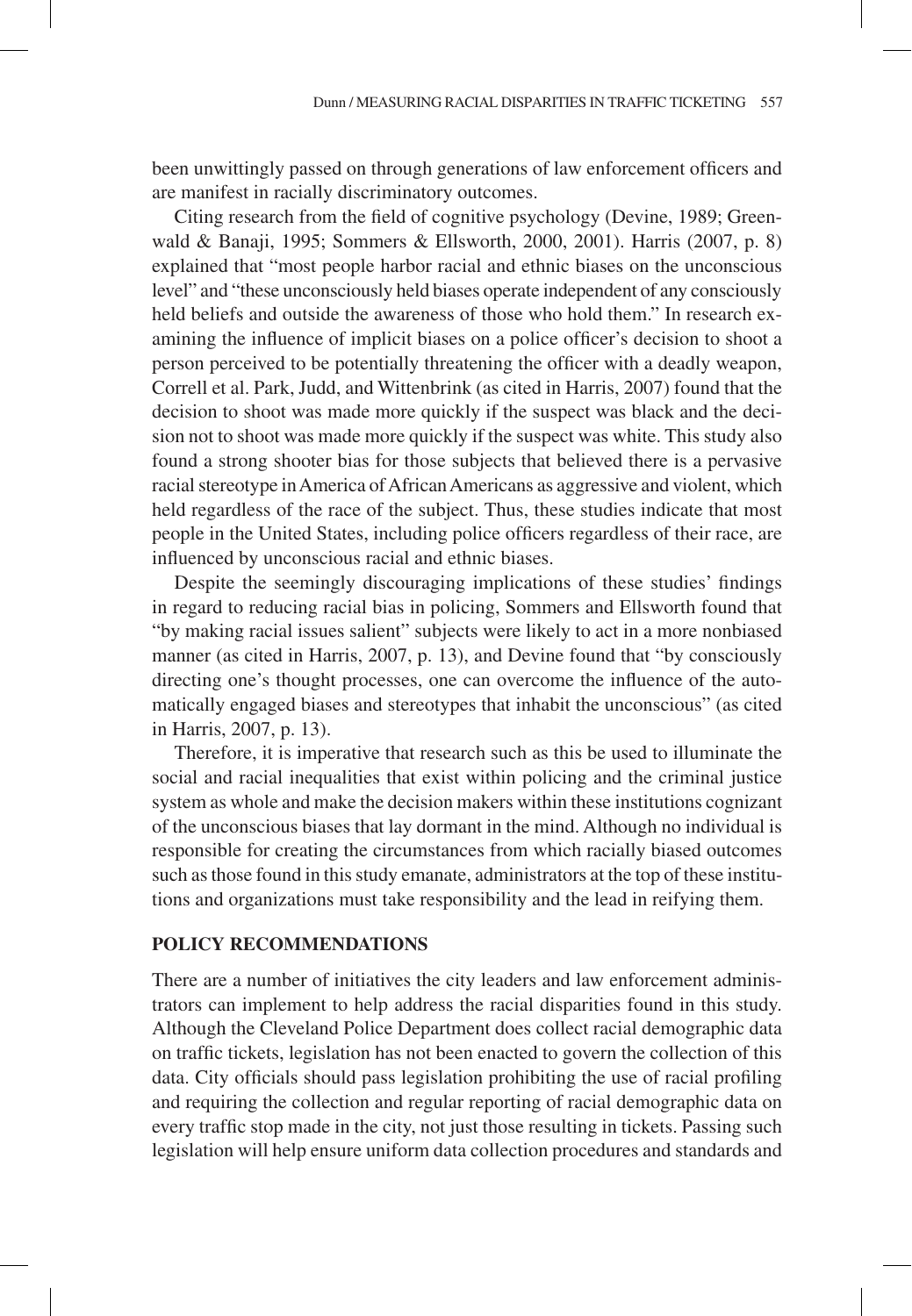been unwittingly passed on through generations of law enforcement officers and are manifest in racially discriminatory outcomes.

Citing research from the field of cognitive psychology (Devine, 1989; Greenwald & Banaji, 1995; Sommers & Ellsworth, 2000, 2001). Harris (2007, p. 8) explained that "most people harbor racial and ethnic biases on the unconscious level" and "these unconsciously held biases operate independent of any consciously held beliefs and outside the awareness of those who hold them." In research examining the influence of implicit biases on a police officer's decision to shoot a person perceived to be potentially threatening the officer with a deadly weapon, Correll et al. Park, Judd, and Wittenbrink (as cited in Harris, 2007) found that the decision to shoot was made more quickly if the suspect was black and the decision not to shoot was made more quickly if the suspect was white. This study also found a strong shooter bias for those subjects that believed there is a pervasive racial stereotype in America of African Americans as aggressive and violent, which held regardless of the race of the subject. Thus, these studies indicate that most people in the United States, including police officers regardless of their race, are influenced by unconscious racial and ethnic biases.

Despite the seemingly discouraging implications of these studies' findings in regard to reducing racial bias in policing, Sommers and Ellsworth found that "by making racial issues salient" subjects were likely to act in a more nonbiased manner (as cited in Harris, 2007, p. 13), and Devine found that "by consciously directing one's thought processes, one can overcome the influence of the automatically engaged biases and stereotypes that inhabit the unconscious" (as cited in Harris, 2007, p. 13).

Therefore, it is imperative that research such as this be used to illuminate the social and racial inequalities that exist within policing and the criminal justice system as whole and make the decision makers within these institutions cognizant of the unconscious biases that lay dormant in the mind. Although no individual is responsible for creating the circumstances from which racially biased outcomes such as those found in this study emanate, administrators at the top of these institutions and organizations must take responsibility and the lead in reifying them.

#### **Policy Recommendations**

There are a number of initiatives the city leaders and law enforcement administrators can implement to help address the racial disparities found in this study. Although the Cleveland Police Department does collect racial demographic data on traffic tickets, legislation has not been enacted to govern the collection of this data. City officials should pass legislation prohibiting the use of racial profiling and requiring the collection and regular reporting of racial demographic data on every traffic stop made in the city, not just those resulting in tickets. Passing such legislation will help ensure uniform data collection procedures and standards and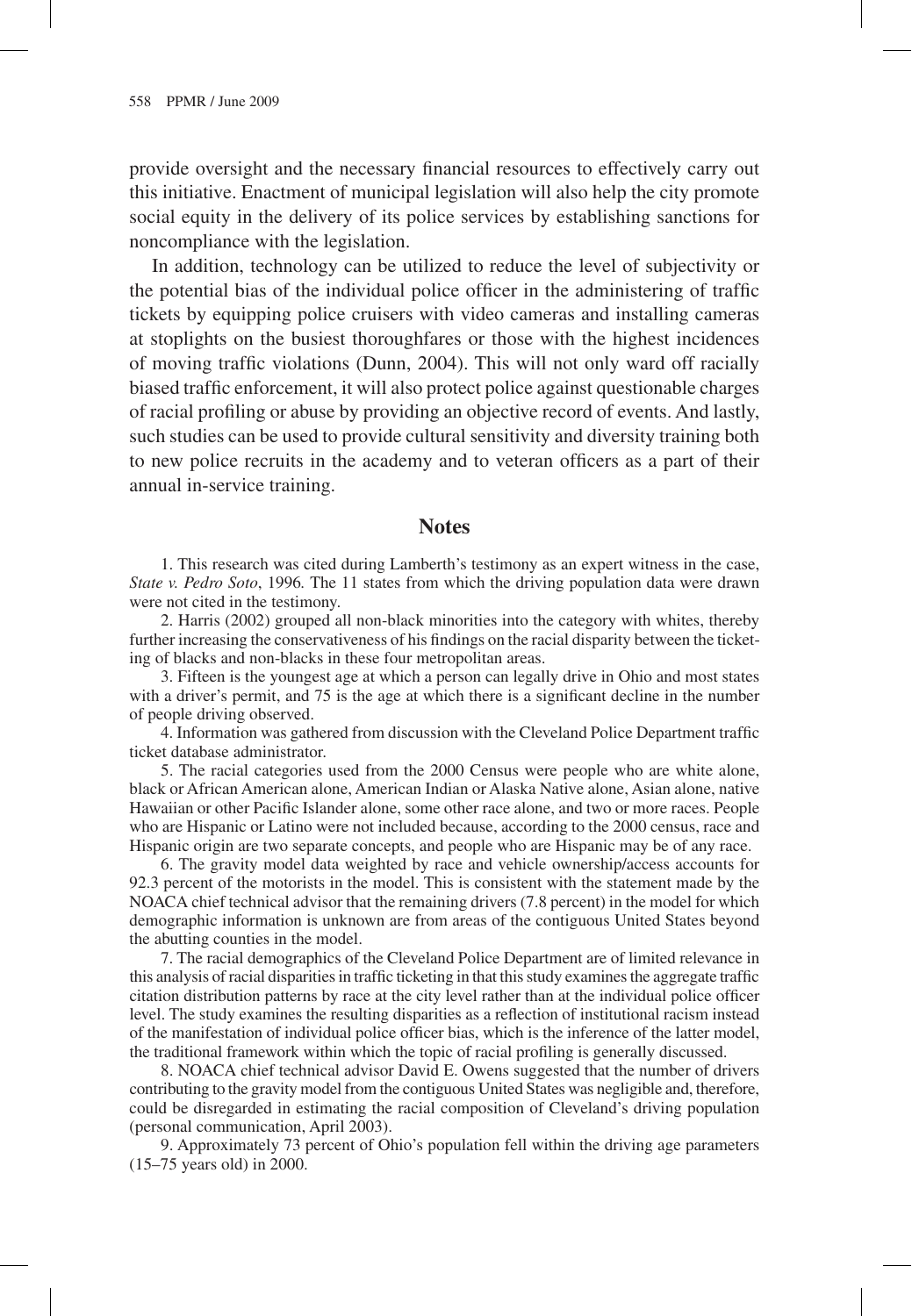provide oversight and the necessary financial resources to effectively carry out this initiative. Enactment of municipal legislation will also help the city promote social equity in the delivery of its police services by establishing sanctions for noncompliance with the legislation.

In addition, technology can be utilized to reduce the level of subjectivity or the potential bias of the individual police officer in the administering of traffic tickets by equipping police cruisers with video cameras and installing cameras at stoplights on the busiest thoroughfares or those with the highest incidences of moving traffic violations (Dunn, 2004). This will not only ward off racially biased traffic enforcement, it will also protect police against questionable charges of racial profiling or abuse by providing an objective record of events. And lastly, such studies can be used to provide cultural sensitivity and diversity training both to new police recruits in the academy and to veteran officers as a part of their annual in-service training.

## **Notes**

1. This research was cited during Lamberth's testimony as an expert witness in the case, *State v. Pedro Soto*, 1996*.* The 11 states from which the driving population data were drawn were not cited in the testimony.

2. Harris (2002) grouped all non-black minorities into the category with whites, thereby further increasing the conservativeness of his findings on the racial disparity between the ticketing of blacks and non-blacks in these four metropolitan areas.

3. Fifteen is the youngest age at which a person can legally drive in Ohio and most states with a driver's permit, and 75 is the age at which there is a significant decline in the number of people driving observed.

4. Information was gathered from discussion with the Cleveland Police Department traffic ticket database administrator.

5. The racial categories used from the 2000 Census were people who are white alone, black or African American alone, American Indian or Alaska Native alone, Asian alone, native Hawaiian or other Pacific Islander alone, some other race alone, and two or more races. People who are Hispanic or Latino were not included because, according to the 2000 census, race and Hispanic origin are two separate concepts, and people who are Hispanic may be of any race.

6. The gravity model data weighted by race and vehicle ownership/access accounts for 92.3 percent of the motorists in the model. This is consistent with the statement made by the NOACA chief technical advisor that the remaining drivers (7.8 percent) in the model for which demographic information is unknown are from areas of the contiguous United States beyond the abutting counties in the model.

7. The racial demographics of the Cleveland Police Department are of limited relevance in this analysis of racial disparities in traffic ticketing in that this study examines the aggregate traffic citation distribution patterns by race at the city level rather than at the individual police officer level. The study examines the resulting disparities as a reflection of institutional racism instead of the manifestation of individual police officer bias, which is the inference of the latter model, the traditional framework within which the topic of racial profiling is generally discussed.

8. NOACA chief technical advisor David E. Owens suggested that the number of drivers contributing to the gravity model from the contiguous United States was negligible and, therefore, could be disregarded in estimating the racial composition of Cleveland's driving population (personal communication, April 2003).

9. Approximately 73 percent of Ohio's population fell within the driving age parameters (15–75 years old) in 2000.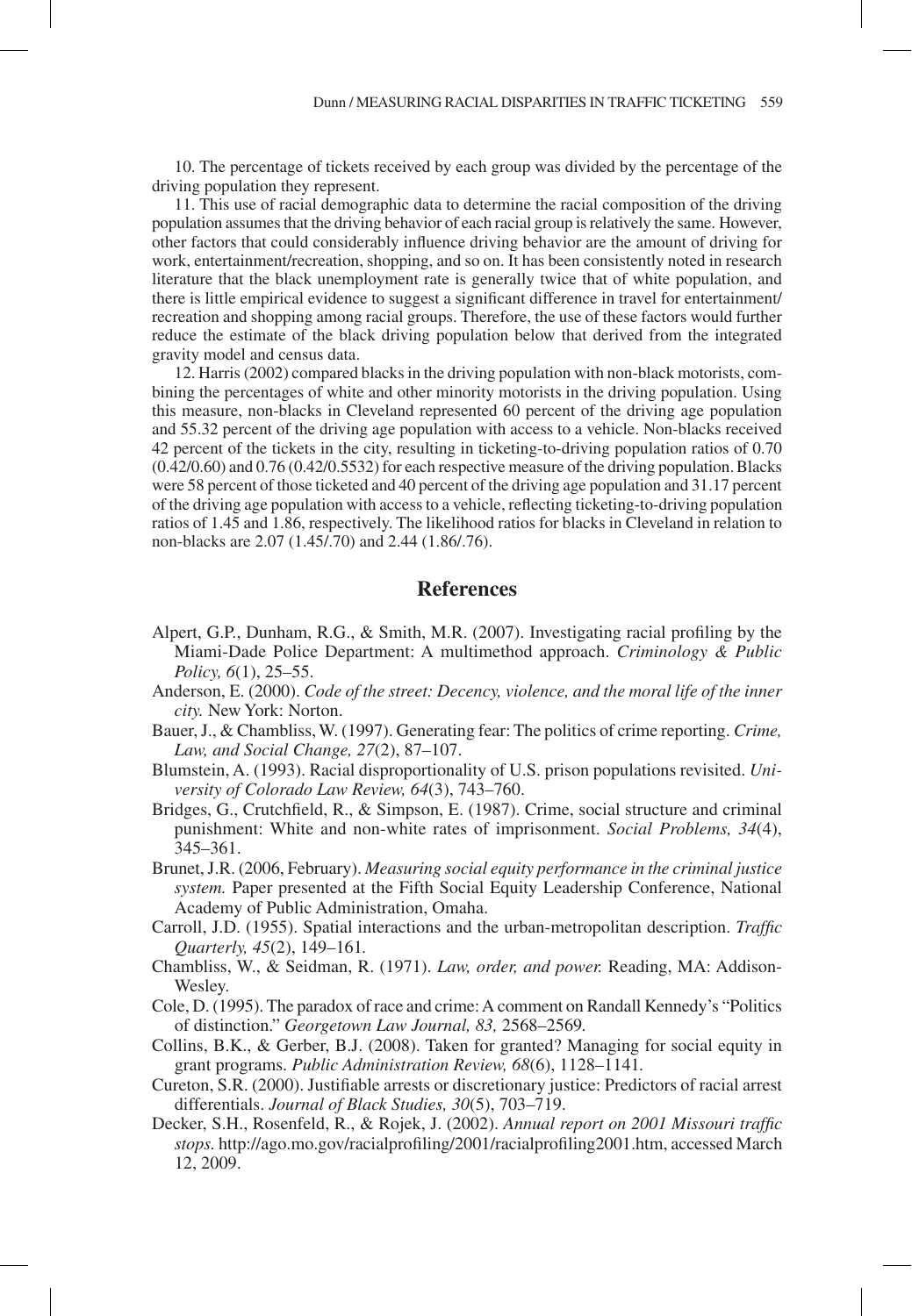10. The percentage of tickets received by each group was divided by the percentage of the driving population they represent.

11. This use of racial demographic data to determine the racial composition of the driving population assumes that the driving behavior of each racial group is relatively the same. However, other factors that could considerably influence driving behavior are the amount of driving for work, entertainment/recreation, shopping, and so on. It has been consistently noted in research literature that the black unemployment rate is generally twice that of white population, and there is little empirical evidence to suggest a significant difference in travel for entertainment/ recreation and shopping among racial groups. Therefore, the use of these factors would further reduce the estimate of the black driving population below that derived from the integrated gravity model and census data.

12. Harris (2002) compared blacks in the driving population with non-black motorists, combining the percentages of white and other minority motorists in the driving population. Using this measure, non-blacks in Cleveland represented 60 percent of the driving age population and 55.32 percent of the driving age population with access to a vehicle. Non-blacks received 42 percent of the tickets in the city, resulting in ticketing-to-driving population ratios of 0.70 (0.42/0.60) and 0.76 (0.42/0.5532) for each respective measure of the driving population. Blacks were 58 percent of those ticketed and 40 percent of the driving age population and 31.17 percent of the driving age population with access to a vehicle, reflecting ticketing-to-driving population ratios of 1.45 and 1.86, respectively. The likelihood ratios for blacks in Cleveland in relation to non-blacks are 2.07 (1.45/.70) and 2.44 (1.86/.76).

# **References**

- Alpert, G.P., Dunham, R.G., & Smith, M.R. (2007). Investigating racial profiling by the Miami-Dade Police Department: A multimethod approach. *Criminology & Public Policy, 6*(1), 25–55.
- Anderson, E. (2000). *Code of the street: Decency, violence, and the moral life of the inner city.* New York: Norton.
- Bauer, J., & Chambliss, W. (1997). Generating fear: The politics of crime reporting. *Crime, Law, and Social Change, 27*(2), 87–107.
- Blumstein, A. (1993). Racial disproportionality of U.S. prison populations revisited. *University of Colorado Law Review, 64*(3), 743–760.
- Bridges, G., Crutchfield, R., & Simpson, E. (1987). Crime, social structure and criminal punishment: White and non-white rates of imprisonment. *Social Problems, 34*(4), 345–361.
- Brunet, J.R. (2006, February). *Measuring social equity performance in the criminal justice system.* Paper presented at the Fifth Social Equity Leadership Conference, National Academy of Public Administration, Omaha.
- Carroll, J.D. (1955). Spatial interactions and the urban-metropolitan description. *Traffic Quarterly, 45*(2), 149–161*.*
- Chambliss, W., & Seidman, R. (1971). *Law, order, and power.* Reading, MA: Addison-Wesley.
- Cole, D. (1995). The paradox of race and crime: A comment on Randall Kennedy's "Politics of distinction." *Georgetown Law Journal, 83,* 2568–2569*.*
- Collins, B.K., & Gerber, B.J. (2008). Taken for granted? Managing for social equity in grant programs. *Public Administration Review, 68*(6), 1128–1141*.*
- Cureton, S.R. (2000). Justifiable arrests or discretionary justice: Predictors of racial arrest differentials. *Journal of Black Studies, 30*(5), 703–719.
- Decker, S.H., Rosenfeld, R., & Rojek, J. (2002). *Annual report on 2001 Missouri traffic stops.* http://ago.mo.gov/racialprofiling/2001/racialprofiling2001.htm, accessed March 12, 2009.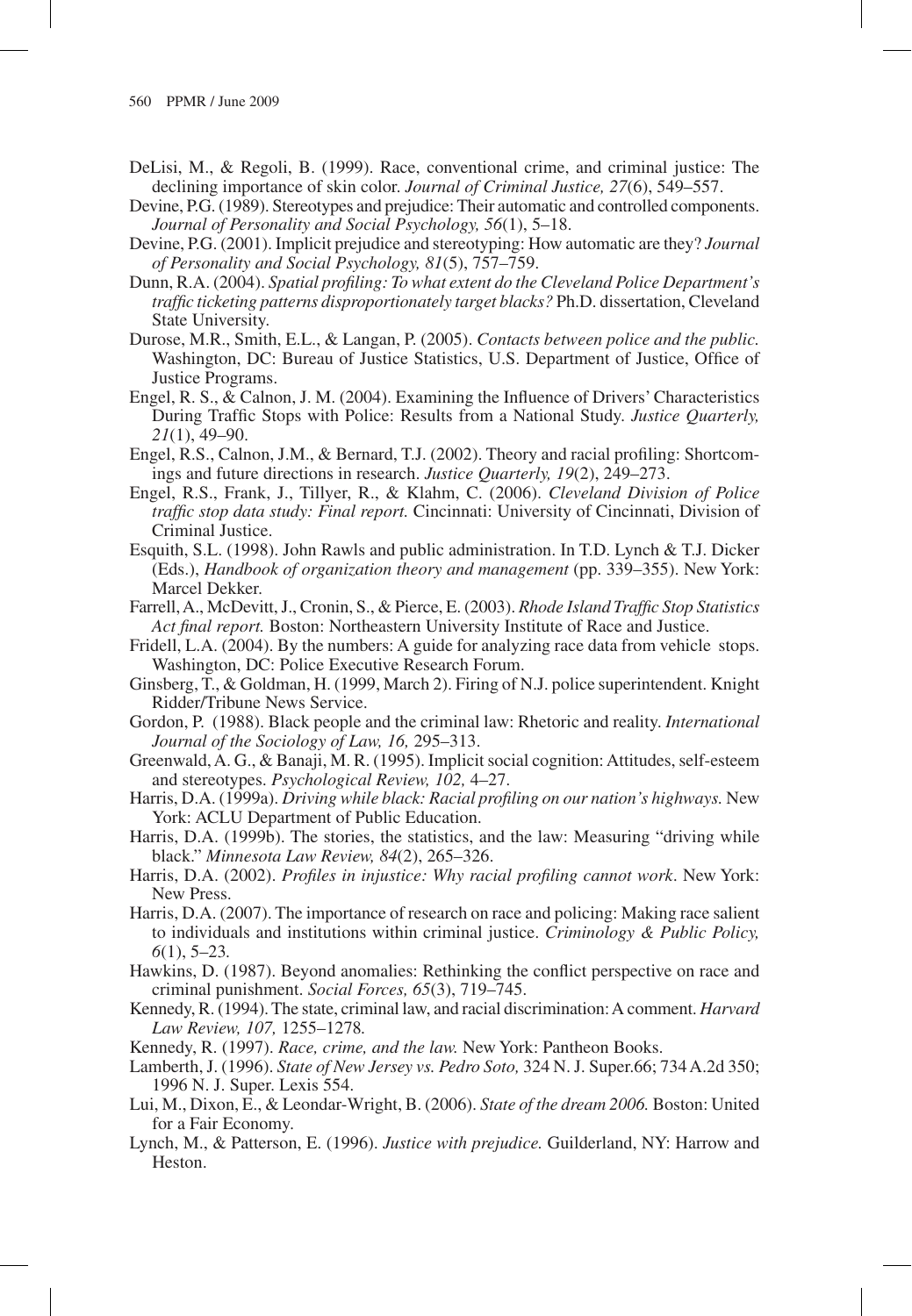- DeLisi, M., & Regoli, B. (1999). Race, conventional crime, and criminal justice: The declining importance of skin color. *Journal of Criminal Justice, 27*(6), 549–557.
- Devine, P.G. (1989). Stereotypes and prejudice: Their automatic and controlled components. *Journal of Personality and Social Psychology, 56*(1), 5–18.
- Devine, P.G. (2001). Implicit prejudice and stereotyping: How automatic are they? *Journal of Personality and Social Psychology, 81*(5), 757–759.
- Dunn, R.A. (2004). *Spatial profiling: To what extent do the Cleveland Police Department's traffic ticketing patterns disproportionately target blacks?* Ph.D. dissertation, Cleveland State University.
- Durose, M.R., Smith, E.L., & Langan, P. (2005). *Contacts between police and the public.*  Washington, DC: Bureau of Justice Statistics, U.S. Department of Justice, Office of Justice Programs.
- Engel, R. S., & Calnon, J. M. (2004). Examining the Influence of Drivers' Characteristics During Traffic Stops with Police: Results from a National Study. *Justice Quarterly, 21*(1), 49–90.
- Engel, R.S., Calnon, J.M., & Bernard, T.J. (2002). Theory and racial profiling: Shortcomings and future directions in research. *Justice Quarterly, 19*(2), 249–273.
- Engel, R.S., Frank, J., Tillyer, R., & Klahm, C. (2006). *Cleveland Division of Police traffic stop data study: Final report.* Cincinnati: University of Cincinnati, Division of Criminal Justice.
- Esquith, S.L. (1998). John Rawls and public administration. In T.D. Lynch & T.J. Dicker (Eds.), *Handbook of organization theory and management* (pp. 339–355). New York: Marcel Dekker.
- Farrell, A., McDevitt, J., Cronin, S., & Pierce, E. (2003). *Rhode Island Traffic Stop Statistics Act final report.* Boston: Northeastern University Institute of Race and Justice.
- Fridell, L.A. (2004). By the numbers: A guide for analyzing race data from vehicle stops. Washington, DC: Police Executive Research Forum.
- Ginsberg, T., & Goldman, H. (1999, March 2). Firing of N.J. police superintendent. Knight Ridder/Tribune News Service.
- Gordon, P. (1988). Black people and the criminal law: Rhetoric and reality. *International Journal of the Sociology of Law, 16,* 295–313.
- Greenwald, A. G., & Banaji, M. R. (1995). Implicit social cognition: Attitudes, self-esteem and stereotypes. *Psychological Review, 102,* 4–27.
- Harris, D.A. (1999a). *Driving while black: Racial profiling on our nation's highways.* New York: ACLU Department of Public Education.
- Harris, D.A. (1999b). The stories, the statistics, and the law: Measuring "driving while black." *Minnesota Law Review, 84*(2), 265–326.
- Harris, D.A. (2002). *Profiles in injustice: Why racial profiling cannot work*. New York: New Press.
- Harris, D.A. (2007). The importance of research on race and policing: Making race salient to individuals and institutions within criminal justice. *Criminology & Public Policy, 6*(1), 5–23*.*
- Hawkins, D. (1987). Beyond anomalies: Rethinking the conflict perspective on race and criminal punishment. *Social Forces, 65*(3), 719–745.
- Kennedy, R. (1994). The state, criminal law, and racial discrimination: A comment. *Harvard Law Review, 107,* 1255–1278*.*
- Kennedy, R. (1997). *Race, crime, and the law.* New York: Pantheon Books.
- Lamberth, J. (1996). *State of New Jersey vs. Pedro Soto,* 324 N. J. Super.66; 734 A.2d 350; 1996 N. J. Super. Lexis 554.
- Lui, M., Dixon, E., & Leondar-Wright, B. (2006). *State of the dream 2006.* Boston: United for a Fair Economy.
- Lynch, M., & Patterson, E. (1996). *Justice with prejudice.* Guilderland, NY: Harrow and Heston.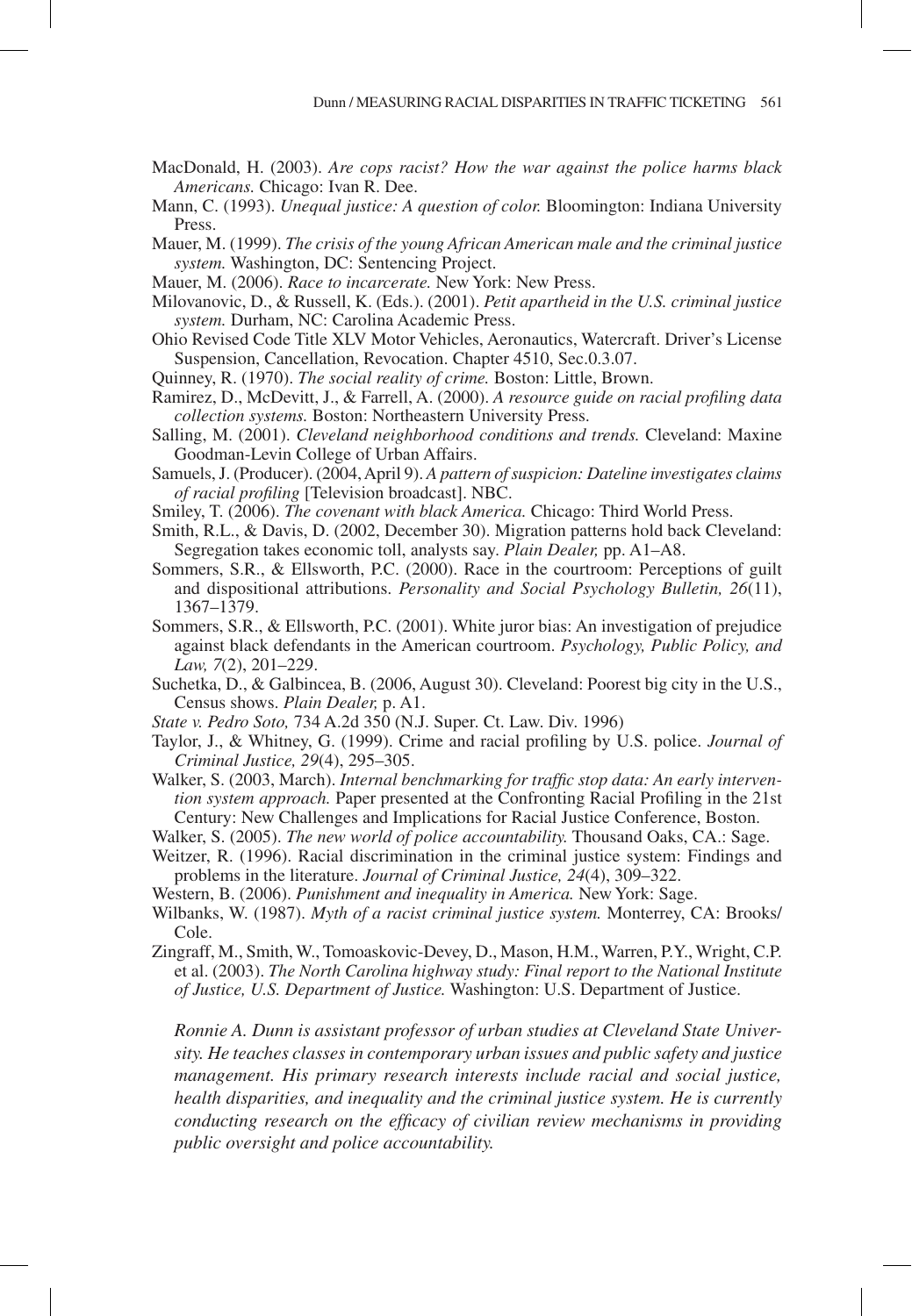- MacDonald, H. (2003). *Are cops racist? How the war against the police harms black Americans.* Chicago: Ivan R. Dee.
- Mann, C. (1993). *Unequal justice: A question of color.* Bloomington: Indiana University Press.
- Mauer, M. (1999). *The crisis of the young African American male and the criminal justice system.* Washington, DC: Sentencing Project.
- Mauer, M. (2006). *Race to incarcerate.* New York: New Press.
- Milovanovic, D., & Russell, K. (Eds.). (2001). *Petit apartheid in the U.S. criminal justice system.* Durham, NC: Carolina Academic Press.
- Ohio Revised Code Title XLV Motor Vehicles, Aeronautics, Watercraft. Driver's License Suspension, Cancellation, Revocation. Chapter 4510, Sec.0.3.07.
- Quinney, R. (1970). *The social reality of crime.* Boston: Little, Brown.
- Ramirez, D., McDevitt, J., & Farrell, A. (2000). *A resource guide on racial profiling data collection systems.* Boston: Northeastern University Press.
- Salling, M. (2001). *Cleveland neighborhood conditions and trends.* Cleveland: Maxine Goodman-Levin College of Urban Affairs.
- Samuels, J. (Producer). (2004, April 9). *A pattern of suspicion: Dateline investigates claims of racial profiling* [Television broadcast]. NBC.
- Smiley, T. (2006). *The covenant with black America.* Chicago: Third World Press.
- Smith, R.L., & Davis, D. (2002, December 30). Migration patterns hold back Cleveland: Segregation takes economic toll, analysts say. *Plain Dealer,* pp. A1–A8.
- Sommers, S.R., & Ellsworth, P.C. (2000). Race in the courtroom: Perceptions of guilt and dispositional attributions. *Personality and Social Psychology Bulletin, 26*(11), 1367–1379.
- Sommers, S.R., & Ellsworth, P.C. (2001). White juror bias: An investigation of prejudice against black defendants in the American courtroom. *Psychology, Public Policy, and Law, 7*(2), 201–229.
- Suchetka, D., & Galbincea, B. (2006, August 30). Cleveland: Poorest big city in the U.S., Census shows. *Plain Dealer,* p. A1.
- *State v. Pedro Soto,* 734 A.2d 350 (N.J. Super. Ct. Law. Div. 1996)
- Taylor, J., & Whitney, G. (1999). Crime and racial profiling by U.S. police. *Journal of Criminal Justice, 29*(4), 295–305.
- Walker, S. (2003, March). *Internal benchmarking for traffic stop data: An early intervention system approach.* Paper presented at the Confronting Racial Profiling in the 21st Century: New Challenges and Implications for Racial Justice Conference, Boston.
- Walker, S. (2005). *The new world of police accountability.* Thousand Oaks, CA.: Sage.
- Weitzer, R. (1996). Racial discrimination in the criminal justice system: Findings and problems in the literature. *Journal of Criminal Justice, 24*(4), 309–322.
- Western, B. (2006). *Punishment and inequality in America.* New York: Sage.
- Wilbanks, W. (1987). *Myth of a racist criminal justice system.* Monterrey, CA: Brooks/ Cole.
- Zingraff, M., Smith, W., Tomoaskovic-Devey, D., Mason, H.M., Warren, P.Y., Wright, C.P. et al. (2003). *The North Carolina highway study: Final report to the National Institute of Justice, U.S. Department of Justice.* Washington: U.S. Department of Justice.

*Ronnie A. Dunn is assistant professor of urban studies at Cleveland State University. He teaches classes in contemporary urban issues and public safety and justice management. His primary research interests include racial and social justice, health disparities, and inequality and the criminal justice system. He is currently conducting research on the efficacy of civilian review mechanisms in providing public oversight and police accountability.*